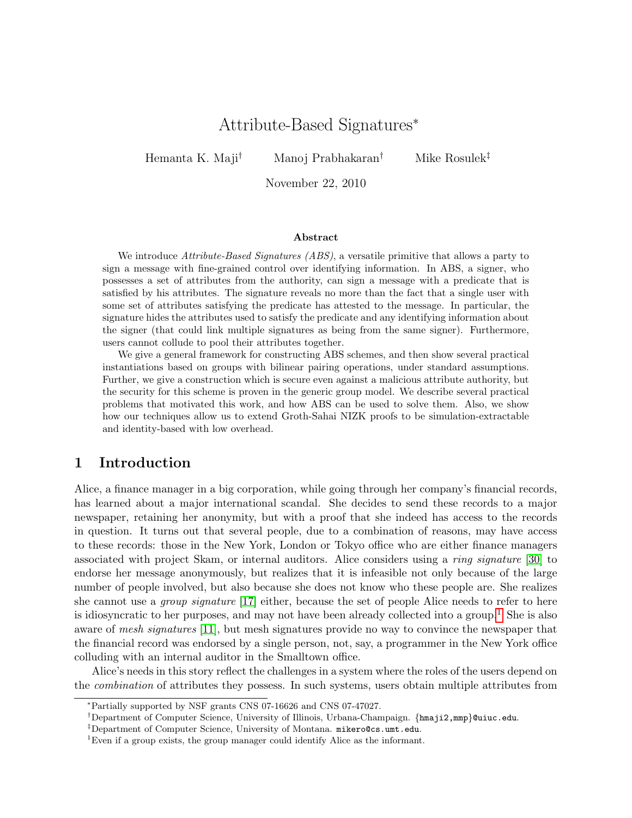# Attribute-Based Signatures<sup>∗</sup>

Hemanta K. Maji† Manoj Prabhakaran† Mike Rosulek‡

November 22, 2010

#### Abstract

We introduce *Attribute-Based Signatures (ABS)*, a versatile primitive that allows a party to sign a message with fine-grained control over identifying information. In ABS, a signer, who possesses a set of attributes from the authority, can sign a message with a predicate that is satisfied by his attributes. The signature reveals no more than the fact that a single user with some set of attributes satisfying the predicate has attested to the message. In particular, the signature hides the attributes used to satisfy the predicate and any identifying information about the signer (that could link multiple signatures as being from the same signer). Furthermore, users cannot collude to pool their attributes together.

We give a general framework for constructing ABS schemes, and then show several practical instantiations based on groups with bilinear pairing operations, under standard assumptions. Further, we give a construction which is secure even against a malicious attribute authority, but the security for this scheme is proven in the generic group model. We describe several practical problems that motivated this work, and how ABS can be used to solve them. Also, we show how our techniques allow us to extend Groth-Sahai NIZK proofs to be simulation-extractable and identity-based with low overhead.

### 1 Introduction

Alice, a finance manager in a big corporation, while going through her company's financial records, has learned about a major international scandal. She decides to send these records to a major newspaper, retaining her anonymity, but with a proof that she indeed has access to the records in question. It turns out that several people, due to a combination of reasons, may have access to these records: those in the New York, London or Tokyo office who are either finance managers associated with project Skam, or internal auditors. Alice considers using a ring signature [\[30\]](#page-15-0) to endorse her message anonymously, but realizes that it is infeasible not only because of the large number of people involved, but also because she does not know who these people are. She realizes she cannot use a group signature [\[17\]](#page-14-0) either, because the set of people Alice needs to refer to here is idiosyncratic to her purposes, and may not have been already collected into a group.<sup>[1](#page-0-0)</sup> She is also aware of mesh signatures [\[11\]](#page-14-1), but mesh signatures provide no way to convince the newspaper that the financial record was endorsed by a single person, not, say, a programmer in the New York office colluding with an internal auditor in the Smalltown office.

Alice's needs in this story reflect the challenges in a system where the roles of the users depend on the combination of attributes they possess. In such systems, users obtain multiple attributes from

<sup>∗</sup>Partially supported by NSF grants CNS 07-16626 and CNS 07-47027.

<sup>†</sup>Department of Computer Science, University of Illinois, Urbana-Champaign. {hmaji2,mmp}@uiuc.edu.

<sup>‡</sup>Department of Computer Science, University of Montana. mikero@cs.umt.edu.

<span id="page-0-0"></span><sup>&</sup>lt;sup>1</sup>Even if a group exists, the group manager could identify Alice as the informant.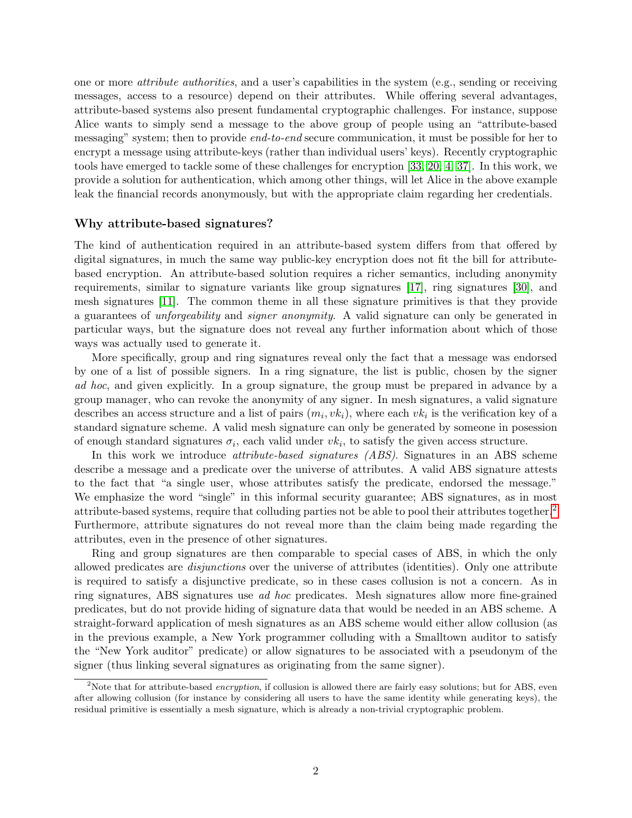one or more attribute authorities, and a user's capabilities in the system (e.g., sending or receiving messages, access to a resource) depend on their attributes. While offering several advantages, attribute-based systems also present fundamental cryptographic challenges. For instance, suppose Alice wants to simply send a message to the above group of people using an "attribute-based messaging" system; then to provide *end-to-end* secure communication, it must be possible for her to encrypt a message using attribute-keys (rather than individual users' keys). Recently cryptographic tools have emerged to tackle some of these challenges for encryption [\[33,](#page-15-1) [20,](#page-14-2) [4,](#page-13-0) [37\]](#page-15-2). In this work, we provide a solution for authentication, which among other things, will let Alice in the above example leak the financial records anonymously, but with the appropriate claim regarding her credentials.

#### Why attribute-based signatures?

The kind of authentication required in an attribute-based system differs from that offered by digital signatures, in much the same way public-key encryption does not fit the bill for attributebased encryption. An attribute-based solution requires a richer semantics, including anonymity requirements, similar to signature variants like group signatures [\[17\]](#page-14-0), ring signatures [\[30\]](#page-15-0), and mesh signatures [\[11\]](#page-14-1). The common theme in all these signature primitives is that they provide a guarantees of unforgeability and signer anonymity. A valid signature can only be generated in particular ways, but the signature does not reveal any further information about which of those ways was actually used to generate it.

More specifically, group and ring signatures reveal only the fact that a message was endorsed by one of a list of possible signers. In a ring signature, the list is public, chosen by the signer ad hoc, and given explicitly. In a group signature, the group must be prepared in advance by a group manager, who can revoke the anonymity of any signer. In mesh signatures, a valid signature describes an access structure and a list of pairs  $(m_i, vk_i)$ , where each  $vk_i$  is the verification key of a standard signature scheme. A valid mesh signature can only be generated by someone in posession of enough standard signatures  $\sigma_i$ , each valid under  $vk_i$ , to satisfy the given access structure.

In this work we introduce *attribute-based signatures (ABS)*. Signatures in an ABS scheme describe a message and a predicate over the universe of attributes. A valid ABS signature attests to the fact that "a single user, whose attributes satisfy the predicate, endorsed the message." We emphasize the word "single" in this informal security guarantee; ABS signatures, as in most attribute-based systems, require that colluding parties not be able to pool their attributes together.<sup>[2](#page-1-0)</sup> Furthermore, attribute signatures do not reveal more than the claim being made regarding the attributes, even in the presence of other signatures.

Ring and group signatures are then comparable to special cases of ABS, in which the only allowed predicates are disjunctions over the universe of attributes (identities). Only one attribute is required to satisfy a disjunctive predicate, so in these cases collusion is not a concern. As in ring signatures, ABS signatures use ad hoc predicates. Mesh signatures allow more fine-grained predicates, but do not provide hiding of signature data that would be needed in an ABS scheme. A straight-forward application of mesh signatures as an ABS scheme would either allow collusion (as in the previous example, a New York programmer colluding with a Smalltown auditor to satisfy the "New York auditor" predicate) or allow signatures to be associated with a pseudonym of the signer (thus linking several signatures as originating from the same signer).

<span id="page-1-0"></span><sup>&</sup>lt;sup>2</sup>Note that for attribute-based *encryption*, if collusion is allowed there are fairly easy solutions; but for ABS, even after allowing collusion (for instance by considering all users to have the same identity while generating keys), the residual primitive is essentially a mesh signature, which is already a non-trivial cryptographic problem.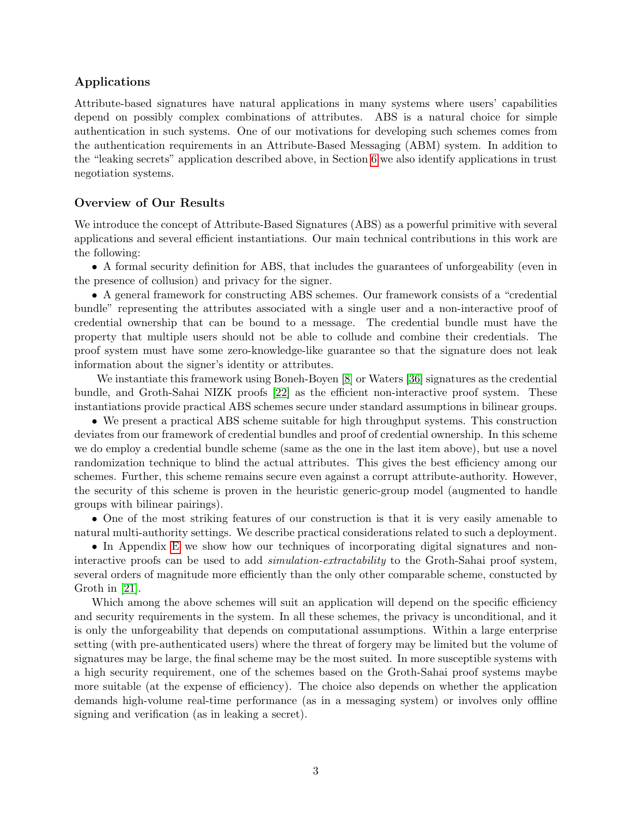### Applications

Attribute-based signatures have natural applications in many systems where users' capabilities depend on possibly complex combinations of attributes. ABS is a natural choice for simple authentication in such systems. One of our motivations for developing such schemes comes from the authentication requirements in an Attribute-Based Messaging (ABM) system. In addition to the "leaking secrets" application described above, in Section [6](#page-12-0) we also identify applications in trust negotiation systems.

### Overview of Our Results

We introduce the concept of Attribute-Based Signatures (ABS) as a powerful primitive with several applications and several efficient instantiations. Our main technical contributions in this work are the following:

• A formal security definition for ABS, that includes the guarantees of unforgeability (even in the presence of collusion) and privacy for the signer.

• A general framework for constructing ABS schemes. Our framework consists of a "credential bundle" representing the attributes associated with a single user and a non-interactive proof of credential ownership that can be bound to a message. The credential bundle must have the property that multiple users should not be able to collude and combine their credentials. The proof system must have some zero-knowledge-like guarantee so that the signature does not leak information about the signer's identity or attributes.

We instantiate this framework using Boneh-Boyen [\[8\]](#page-14-3) or Waters [\[36\]](#page-15-3) signatures as the credential bundle, and Groth-Sahai NIZK proofs [\[22\]](#page-14-4) as the efficient non-interactive proof system. These instantiations provide practical ABS schemes secure under standard assumptions in bilinear groups.

• We present a practical ABS scheme suitable for high throughput systems. This construction deviates from our framework of credential bundles and proof of credential ownership. In this scheme we do employ a credential bundle scheme (same as the one in the last item above), but use a novel randomization technique to blind the actual attributes. This gives the best efficiency among our schemes. Further, this scheme remains secure even against a corrupt attribute-authority. However, the security of this scheme is proven in the heuristic generic-group model (augmented to handle groups with bilinear pairings).

• One of the most striking features of our construction is that it is very easily amenable to natural multi-authority settings. We describe practical considerations related to such a deployment.

• In Appendix [E](#page-24-0) we show how our techniques of incorporating digital signatures and noninteractive proofs can be used to add *simulation-extractability* to the Groth-Sahai proof system, several orders of magnitude more efficiently than the only other comparable scheme, constucted by Groth in [\[21\]](#page-14-5).

Which among the above schemes will suit an application will depend on the specific efficiency and security requirements in the system. In all these schemes, the privacy is unconditional, and it is only the unforgeability that depends on computational assumptions. Within a large enterprise setting (with pre-authenticated users) where the threat of forgery may be limited but the volume of signatures may be large, the final scheme may be the most suited. In more susceptible systems with a high security requirement, one of the schemes based on the Groth-Sahai proof systems maybe more suitable (at the expense of efficiency). The choice also depends on whether the application demands high-volume real-time performance (as in a messaging system) or involves only offline signing and verification (as in leaking a secret).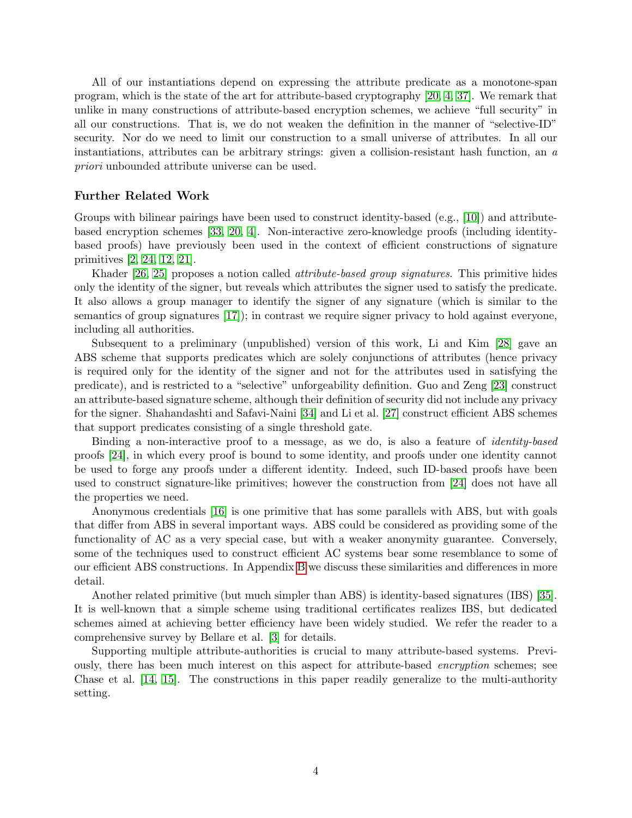All of our instantiations depend on expressing the attribute predicate as a monotone-span program, which is the state of the art for attribute-based cryptography [\[20,](#page-14-2) [4,](#page-13-0) [37\]](#page-15-2). We remark that unlike in many constructions of attribute-based encryption schemes, we achieve "full security" in all our constructions. That is, we do not weaken the definition in the manner of "selective-ID" security. Nor do we need to limit our construction to a small universe of attributes. In all our instantiations, attributes can be arbitrary strings: given a collision-resistant hash function, an a priori unbounded attribute universe can be used.

### Further Related Work

Groups with bilinear pairings have been used to construct identity-based (e.g., [\[10\]](#page-14-6)) and attributebased encryption schemes [\[33,](#page-15-1) [20,](#page-14-2) [4\]](#page-13-0). Non-interactive zero-knowledge proofs (including identitybased proofs) have previously been used in the context of efficient constructions of signature primitives [\[2,](#page-13-1) [24,](#page-14-7) [12,](#page-14-8) [21\]](#page-14-5).

Khader [\[26,](#page-15-4) [25\]](#page-14-9) proposes a notion called *attribute-based group signatures*. This primitive hides only the identity of the signer, but reveals which attributes the signer used to satisfy the predicate. It also allows a group manager to identify the signer of any signature (which is similar to the semantics of group signatures [\[17\]](#page-14-0)); in contrast we require signer privacy to hold against everyone, including all authorities.

Subsequent to a preliminary (unpublished) version of this work, Li and Kim [\[28\]](#page-15-5) gave an ABS scheme that supports predicates which are solely conjunctions of attributes (hence privacy is required only for the identity of the signer and not for the attributes used in satisfying the predicate), and is restricted to a "selective" unforgeability definition. Guo and Zeng [\[23\]](#page-14-10) construct an attribute-based signature scheme, although their definition of security did not include any privacy for the signer. Shahandashti and Safavi-Naini [\[34\]](#page-15-6) and Li et al. [\[27\]](#page-15-7) construct efficient ABS schemes that support predicates consisting of a single threshold gate.

Binding a non-interactive proof to a message, as we do, is also a feature of identity-based proofs [\[24\]](#page-14-7), in which every proof is bound to some identity, and proofs under one identity cannot be used to forge any proofs under a different identity. Indeed, such ID-based proofs have been used to construct signature-like primitives; however the construction from [\[24\]](#page-14-7) does not have all the properties we need.

Anonymous credentials [\[16\]](#page-14-11) is one primitive that has some parallels with ABS, but with goals that differ from ABS in several important ways. ABS could be considered as providing some of the functionality of AC as a very special case, but with a weaker anonymity guarantee. Conversely, some of the techniques used to construct efficient AC systems bear some resemblance to some of our efficient ABS constructions. In Appendix [B](#page-17-0) we discuss these similarities and differences in more detail.

Another related primitive (but much simpler than ABS) is identity-based signatures (IBS) [\[35\]](#page-15-8). It is well-known that a simple scheme using traditional certificates realizes IBS, but dedicated schemes aimed at achieving better efficiency have been widely studied. We refer the reader to a comprehensive survey by Bellare et al. [\[3\]](#page-13-2) for details.

Supporting multiple attribute-authorities is crucial to many attribute-based systems. Previously, there has been much interest on this aspect for attribute-based *encryption* schemes; see Chase et al. [\[14,](#page-14-12) [15\]](#page-14-13). The constructions in this paper readily generalize to the multi-authority setting.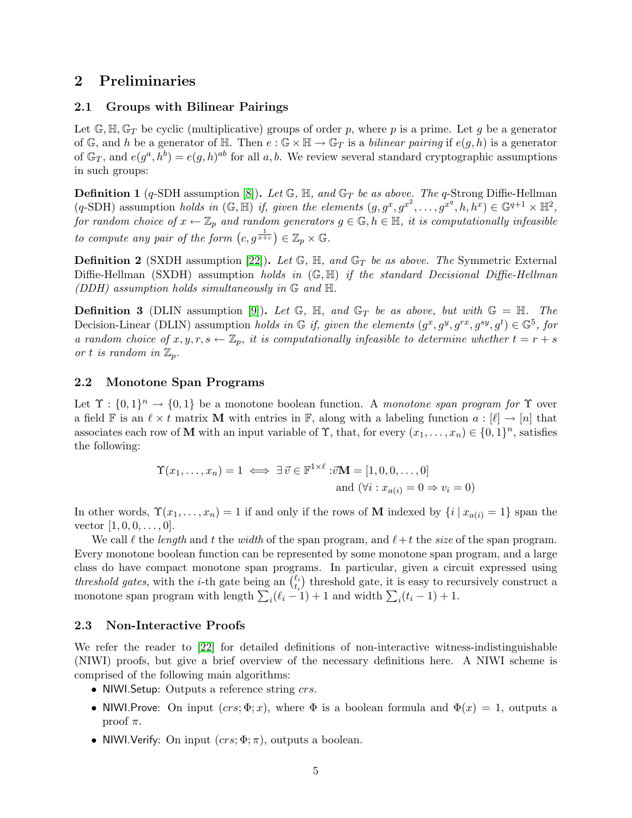## 2 Preliminaries

### <span id="page-4-0"></span>2.1 Groups with Bilinear Pairings

Let  $\mathbb{G}, \mathbb{H}, \mathbb{G}_T$  be cyclic (multiplicative) groups of order p, where p is a prime. Let g be a generator of G, and h be a generator of  $\mathbb{H}$ . Then  $e : \mathbb{G} \times \mathbb{H} \to \mathbb{G}_T$  is a bilinear pairing if  $e(g, h)$  is a generator of  $\mathbb{G}_T$ , and  $e(g^a, h^b) = e(g, h)^{ab}$  for all a, b. We review several standard cryptographic assumptions in such groups:

<span id="page-4-1"></span>**Definition 1** (q-SDH assumption [\[8\]](#page-14-3)). Let G, H, and G<sub>T</sub> be as above. The q-Strong Diffie-Hellman  $(q\text{-SDH})$  assumption holds in  $(\mathbb{G}, \mathbb{H})$  if, given the elements  $(g, g^x, g^{x^2}, \ldots, g^{x^q}, h, h^x) \in \mathbb{G}^{q+1} \times \mathbb{H}^2$ , for random choice of  $x \leftarrow \mathbb{Z}_p$  and random generators  $g \in \mathbb{G}$ ,  $h \in \mathbb{H}$ , it is computationally infeasible to compute any pair of the form  $(c, g^{\frac{1}{x+c}}) \in \mathbb{Z}_p \times \mathbb{G}$ .

**Definition 2** (SXDH assumption [\[22\]](#page-14-4)). Let  $\mathbb{G}$ ,  $\mathbb{H}$ , and  $\mathbb{G}_T$  be as above. The Symmetric External Diffie-Hellman (SXDH) assumption holds in  $(\mathbb{G}, \mathbb{H})$  if the standard Decisional Diffie-Hellman (DDH) assumption holds simultaneously in  $\mathbb G$  and  $\mathbb H$ .

**Definition 3** (DLIN assumption [\[9\]](#page-14-14)). Let  $\mathbb{G}$ ,  $\mathbb{H}$ , and  $\mathbb{G}_T$  be as above, but with  $\mathbb{G} = \mathbb{H}$ . The Decision-Linear (DLIN) assumption holds in  $\mathbb G$  if, given the elements  $(g^x, g^y, g^{rx}, g^{sy}, g^t) \in \mathbb G^5$ , for a random choice of  $x, y, r, s \leftarrow \mathbb{Z}_p$ , it is computationally infeasible to determine whether  $t = r + s$ or t is random in  $\mathbb{Z}_p$ .

### 2.2 Monotone Span Programs

Let  $\Upsilon : \{0,1\}^n \to \{0,1\}$  be a monotone boolean function. A monotone span program for  $\Upsilon$  over a field F is an  $\ell \times t$  matrix M with entries in F, along with a labeling function  $a : [\ell] \to [n]$  that associates each row of M with an input variable of  $\Upsilon$ , that, for every  $(x_1, \ldots, x_n) \in \{0,1\}^n$ , satisfies the following:

$$
\Upsilon(x_1, \dots, x_n) = 1 \iff \exists \, \vec{v} \in \mathbb{F}^{1 \times \ell} : \vec{v} \mathbf{M} = [1, 0, 0, \dots, 0]
$$
  
and  $(\forall i : x_{a(i)} = 0 \Rightarrow v_i = 0)$ 

In other words,  $\Upsilon(x_1,\ldots,x_n)=1$  if and only if the rows of M indexed by  $\{i \mid x_{a(i)}=1\}$  span the vector  $[1, 0, 0, \ldots, 0].$ 

We call  $\ell$  the length and t the width of the span program, and  $\ell+t$  the size of the span program. Every monotone boolean function can be represented by some monotone span program, and a large class do have compact monotone span programs. In particular, given a circuit expressed using threshold gates, with the *i*-th gate being an  $\binom{\ell_i}{t}$  $\begin{bmatrix} \ell_i \\ t_i \end{bmatrix}$  threshold gate, it is easy to recursively construct a monotone span program with length  $\sum_i (\ell_i - 1) + 1$  and width  $\sum_i (t_i - 1) + 1$ .

### 2.3 Non-Interactive Proofs

We refer the reader to [\[22\]](#page-14-4) for detailed definitions of non-interactive witness-indistinguishable (NIWI) proofs, but give a brief overview of the necessary definitions here. A NIWI scheme is comprised of the following main algorithms:

- NIWI. Setup: Outputs a reference string  $crs$ .
- NIWI. Prove: On input  $(crs, \Phi; x)$ , where  $\Phi$  is a boolean formula and  $\Phi(x) = 1$ , outputs a proof π.
- NIWI. Verify: On input  $(crs; \Phi; \pi)$ , outputs a boolean.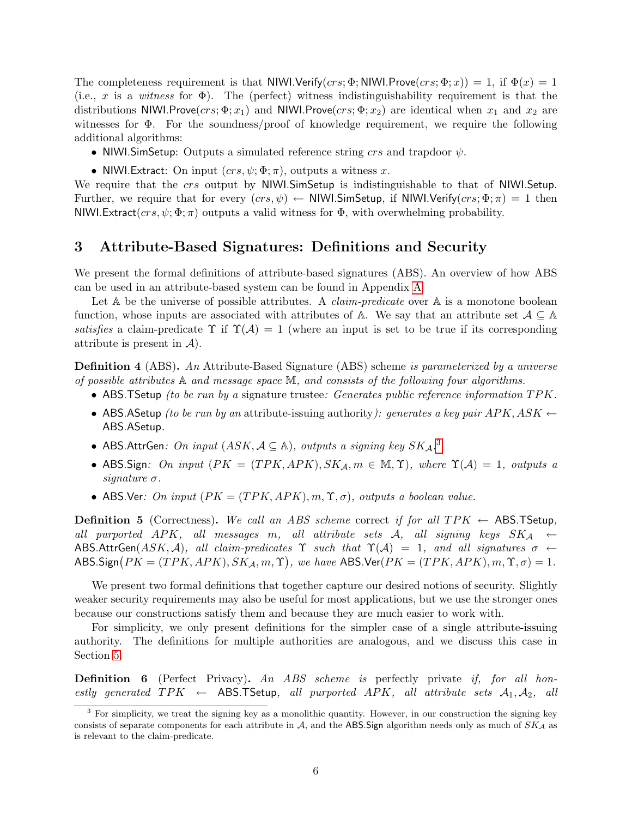The completeness requirement is that NIWI.Verify(crs;  $\Phi$ ; NIWI.Prove(crs;  $\Phi$ ; x)) = 1, if  $\Phi(x) = 1$ (i.e., x is a witness for  $\Phi$ ). The (perfect) witness indistinguishability requirement is that the distributions NIWI.Prove $(crs; \Phi; x_1)$  and NIWI.Prove $(crs; \Phi; x_2)$  are identical when  $x_1$  and  $x_2$  are witnesses for  $\Phi$ . For the soundness/proof of knowledge requirement, we require the following additional algorithms:

- NIWI.SimSetup: Outputs a simulated reference string  $crs$  and trapdoor  $\psi$ .
- NIWI. Extract: On input  $(crs, \psi; \Phi; \pi)$ , outputs a witness x.

We require that the crs output by NIWI.SimSetup is indistinguishable to that of NIWI.Setup. Further, we require that for every  $(crs, \psi) \leftarrow$  NIWI.SimSetup, if NIWI.Verify $(crs, \Phi; \pi) = 1$  then NIWI.Extract $(crs, \psi; \Phi; \pi)$  outputs a valid witness for  $\Phi$ , with overwhelming probability.

## 3 Attribute-Based Signatures: Definitions and Security

We present the formal definitions of attribute-based signatures (ABS). An overview of how ABS can be used in an attribute-based system can be found in Appendix [A](#page-15-9)

Let  $A$  be the universe of possible attributes. A *claim-predicate* over  $A$  is a monotone boolean function, whose inputs are associated with attributes of A. We say that an attribute set  $A \subseteq A$ satisfies a claim-predicate  $\Upsilon$  if  $\Upsilon(\mathcal{A}) = 1$  (where an input is set to be true if its corresponding attribute is present in  $\mathcal{A}$ ).

**Definition 4** (ABS). An Attribute-Based Signature (ABS) scheme is parameterized by a universe of possible attributes A and message space M, and consists of the following four algorithms.

- ABS. TSetup (to be run by a signature trustee: Generates public reference information  $TPK$ .
- ABS. A Setup *(to be run by an attribute-issuing authority): generates a key pair APK, ASK*  $\leftarrow$ ABS.ASetup.
- ABS. Attr Gen: On input  $(ASK, A \subseteq A)$ , outputs a signing key  $SK_A$ .<sup>[3](#page-5-0)</sup>
- ABS. Sign: On input  $(PK = (TPK, APK), SK_A, m \in M, \Upsilon)$ , where  $\Upsilon(\mathcal{A}) = 1$ , outputs a signature  $\sigma$ .
- ABS.Ver: On input  $(PK = (TPK, APK), m, \Upsilon, \sigma)$ , outputs a boolean value.

<span id="page-5-1"></span>**Definition 5** (Correctness). We call an ABS scheme correct if for all  $TPK \leftarrow$  ABS.TSetup, all purported APK, all messages m, all attribute sets  $A$ , all signing keys  $SK_A \leftarrow$ ABS.AttrGen(ASK, A), all claim-predicates  $\Upsilon$  such that  $\Upsilon(\mathcal{A}) = 1$ , and all signatures  $\sigma \leftarrow$ ABS. Sign  $(PK = (TPK, APK), SK_A, m, \Upsilon)$ , we have ABS. Ver( $PK = (TPK, APK), m, \Upsilon, \sigma$ ) = 1.

We present two formal definitions that together capture our desired notions of security. Slightly weaker security requirements may also be useful for most applications, but we use the stronger ones because our constructions satisfy them and because they are much easier to work with.

For simplicity, we only present definitions for the simpler case of a single attribute-issuing authority. The definitions for multiple authorities are analogous, and we discuss this case in Section [5.](#page-11-0)

<span id="page-5-2"></span>**Definition 6** (Perfect Privacy). An ABS scheme is perfectly private if, for all honestly generated  $TPK \leftarrow$  ABS. TSetup, all purported  $APK$ , all attribute sets  $\mathcal{A}_1, \mathcal{A}_2,$  all

<span id="page-5-0"></span><sup>&</sup>lt;sup>3</sup> For simplicity, we treat the signing key as a monolithic quantity. However, in our construction the signing key consists of separate components for each attribute in A, and the ABS. Sign algorithm needs only as much of  $SK_A$  as is relevant to the claim-predicate.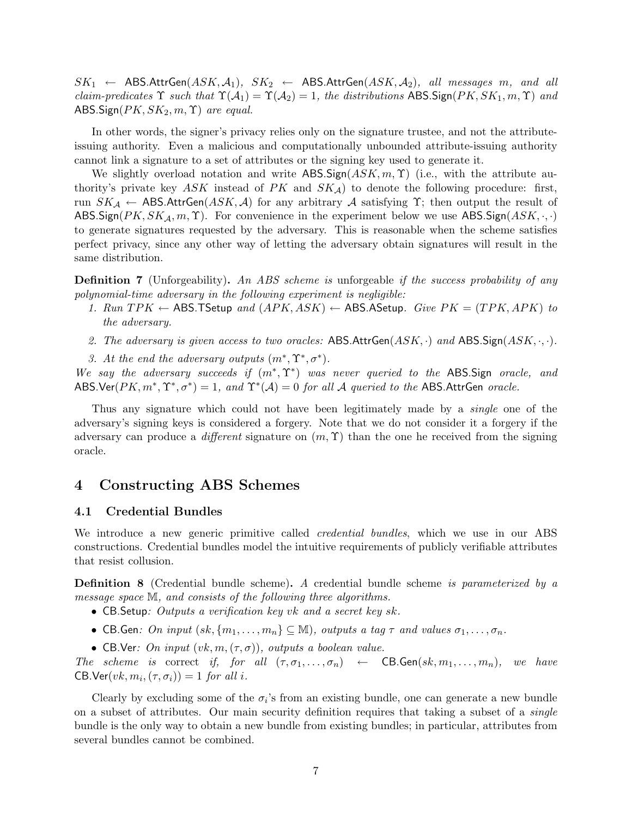$\begin{array}{l} SK_1 \;\;\leftarrow\;\; \mathsf{ABS}. \mathsf{AttrGen}(\mathit{ASK}, \mathcal{A}_1), \;\; SK_2 \;\;\leftarrow\;\; \mathsf{ABS}. \mathsf{AttrGen}(\mathit{ASK}, \mathcal{A}_2), \;\; all \;\; messages \;\; m, \;\; and \;\; all \;\; \mathsf{R} \end{array}$ claim-predicates  $\Upsilon$  such that  $\Upsilon(\mathcal{A}_1) = \Upsilon(\mathcal{A}_2) = 1$ , the distributions ABS. Sign(PK,  $SK_1, m, \Upsilon$ ) and  $ABS.Sign(PK, SK_2, m, \Upsilon)$  are equal.

In other words, the signer's privacy relies only on the signature trustee, and not the attributeissuing authority. Even a malicious and computationally unbounded attribute-issuing authority cannot link a signature to a set of attributes or the signing key used to generate it.

We slightly overload notation and write  $\mathsf{ABS}.\mathsf{Sign}(\mathit{ASK}, m, \Upsilon)$  (i.e., with the attribute authority's private key ASK instead of  $PK$  and  $SK<sub>A</sub>$ ) to denote the following procedure: first, run  $SK_A \leftarrow ABS.AttrGen(ASK, A)$  for any arbitrary A satisfying  $\Upsilon$ ; then output the result of ABS.Sign( $PK, SK_A, m, \Upsilon$ ). For convenience in the experiment below we use ABS.Sign( $ASK, \cdot, \cdot$ ) to generate signatures requested by the adversary. This is reasonable when the scheme satisfies perfect privacy, since any other way of letting the adversary obtain signatures will result in the same distribution.

<span id="page-6-0"></span>**Definition 7** (Unforgeability). An ABS scheme is unforgeable if the success probability of any polynomial-time adversary in the following experiment is negligible:

- 1. Run  $TPK \leftarrow$  ABS. TSetup and  $(APK, ASK) \leftarrow$  ABS. ASetup. Give  $PK = (TPK, APK)$  to the adversary.
- 2. The adversary is given access to two oracles: ABS.AttrGen( $ASK, \cdot$ ) and ABS.Sign( $ASK, \cdot, \cdot$ ).
- 3. At the end the adversary outputs  $(m^*, \Upsilon^*, \sigma^*)$ .

We say the adversary succeeds if  $(m^*, \Upsilon^*)$  was never queried to the ABS. Sign oracle, and ABS.Ver( $PK, m^*, \Upsilon^*, \sigma^*$ ) = 1, and  $\Upsilon^*(\mathcal{A}) = 0$  for all  $\mathcal{A}$  queried to the ABS.AttrGen oracle.

Thus any signature which could not have been legitimately made by a *single* one of the adversary's signing keys is considered a forgery. Note that we do not consider it a forgery if the adversary can produce a *different* signature on  $(m, \Upsilon)$  than the one he received from the signing oracle.

## 4 Constructing ABS Schemes

### 4.1 Credential Bundles

We introduce a new generic primitive called *credential bundles*, which we use in our ABS constructions. Credential bundles model the intuitive requirements of publicly verifiable attributes that resist collusion.

**Definition 8** (Credential bundle scheme). A credential bundle scheme is parameterized by a message space M, and consists of the following three algorithms.

- CB.Setup: Outputs a verification key vk and a secret key sk.
- CB.Gen: On input  $(sk, \{m_1, \ldots, m_n\} \subseteq M)$ , outputs a tag  $\tau$  and values  $\sigma_1, \ldots, \sigma_n$ .
- CB.Ver: On input  $(vk, m, (\tau, \sigma))$ , outputs a boolean value.

The scheme is correct if, for all  $(\tau, \sigma_1, \ldots, \sigma_n) \leftarrow \textsf{CB}.\textsf{Gen}(sk, m_1, \ldots, m_n)$ , we have  $CB.\mathsf{Ver}(vk, m_i, (\tau, \sigma_i)) = 1$  for all i.

Clearly by excluding some of the  $\sigma_i$ 's from an existing bundle, one can generate a new bundle on a subset of attributes. Our main security definition requires that taking a subset of a single bundle is the only way to obtain a new bundle from existing bundles; in particular, attributes from several bundles cannot be combined.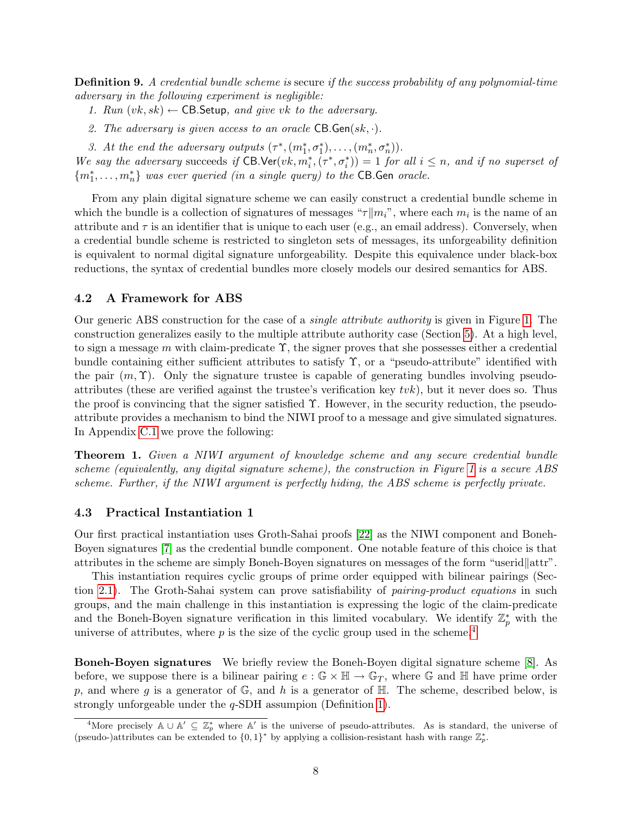**Definition 9.** A credential bundle scheme is secure if the success probability of any polynomial-time adversary in the following experiment is negligible:

- 1. Run  $(vk, sk) \leftarrow \text{CB}$ . Setup, and give vk to the adversary.
- 2. The adversary is given access to an oracle  $CB.Gen(sk, \cdot)$ .
- 3. At the end the adversary outputs  $(\tau^*, (m_1^*, \sigma_1^*), \ldots, (m_n^*, \sigma_n^*)$ .

We say the adversary succeeds if  $CB$ . Ver $(vk, m_i^*, (\tau^*, \sigma_i^*)) = 1$  for all  $i \leq n$ , and if no superset of  ${m_1^*, \ldots, m_n^*}$  was ever queried (in a single query) to the CB.Gen oracle.

From any plain digital signature scheme we can easily construct a credential bundle scheme in which the bundle is a collection of signatures of messages " $\tau \|m_i$ ", where each  $m_i$  is the name of an attribute and  $\tau$  is an identifier that is unique to each user (e.g., an email address). Conversely, when a credential bundle scheme is restricted to singleton sets of messages, its unforgeability definition is equivalent to normal digital signature unforgeability. Despite this equivalence under black-box reductions, the syntax of credential bundles more closely models our desired semantics for ABS.

#### 4.2 A Framework for ABS

Our generic ABS construction for the case of a single attribute authority is given in Figure [1.](#page-8-0) The construction generalizes easily to the multiple attribute authority case (Section [5\)](#page-11-0). At a high level, to sign a message m with claim-predicate  $\Upsilon$ , the signer proves that she possesses either a credential bundle containing either sufficient attributes to satisfy  $\Upsilon$ , or a "pseudo-attribute" identified with the pair  $(m, \Upsilon)$ . Only the signature trustee is capable of generating bundles involving pseudoattributes (these are verified against the trustee's verification key  $tvk$ ), but it never does so. Thus the proof is convincing that the signer satisfied Υ. However, in the security reduction, the pseudoattribute provides a mechanism to bind the NIWI proof to a message and give simulated signatures. In Appendix [C.1](#page-18-0) we prove the following:

<span id="page-7-1"></span>Theorem 1. Given a NIWI argument of knowledge scheme and any secure credential bundle scheme (equivalently, any digital signature scheme), the construction in Figure [1](#page-8-0) is a secure ABS scheme. Further, if the NIWI argument is perfectly hiding, the ABS scheme is perfectly private.

#### 4.3 Practical Instantiation 1

Our first practical instantiation uses Groth-Sahai proofs [\[22\]](#page-14-4) as the NIWI component and Boneh-Boyen signatures [\[7\]](#page-14-15) as the credential bundle component. One notable feature of this choice is that attributes in the scheme are simply Boneh-Boyen signatures on messages of the form "userid $\|\text{attr"}.$ 

This instantiation requires cyclic groups of prime order equipped with bilinear pairings (Sec-tion [2.1\)](#page-4-0). The Groth-Sahai system can prove satisfiability of *pairing-product equations* in such groups, and the main challenge in this instantiation is expressing the logic of the claim-predicate and the Boneh-Boyen signature verification in this limited vocabulary. We identify  $\mathbb{Z}_p^*$  with the universe of attributes, where  $p$  is the size of the cyclic group used in the scheme.<sup>[4](#page-7-0)</sup>

Boneh-Boyen signatures We briefly review the Boneh-Boyen digital signature scheme [\[8\]](#page-14-3). As before, we suppose there is a bilinear pairing  $e : \mathbb{G} \times \mathbb{H} \to \mathbb{G}_T$ , where  $\mathbb{G}$  and  $\mathbb{H}$  have prime order p, and where g is a generator of  $\mathbb{G}$ , and h is a generator of  $\mathbb{H}$ . The scheme, described below, is strongly unforgeable under the q-SDH assumpion (Definition [1\)](#page-4-1).

<span id="page-7-0"></span><sup>&</sup>lt;sup>4</sup>More precisely  $\mathbb{A} \cup \mathbb{A}' \subseteq \mathbb{Z}_p^*$  where  $\mathbb{A}'$  is the universe of pseudo-attributes. As is standard, the universe of (pseudo-)attributes can be extended to  $\{0,1\}^*$  by applying a collision-resistant hash with range  $\mathbb{Z}_p^*$ .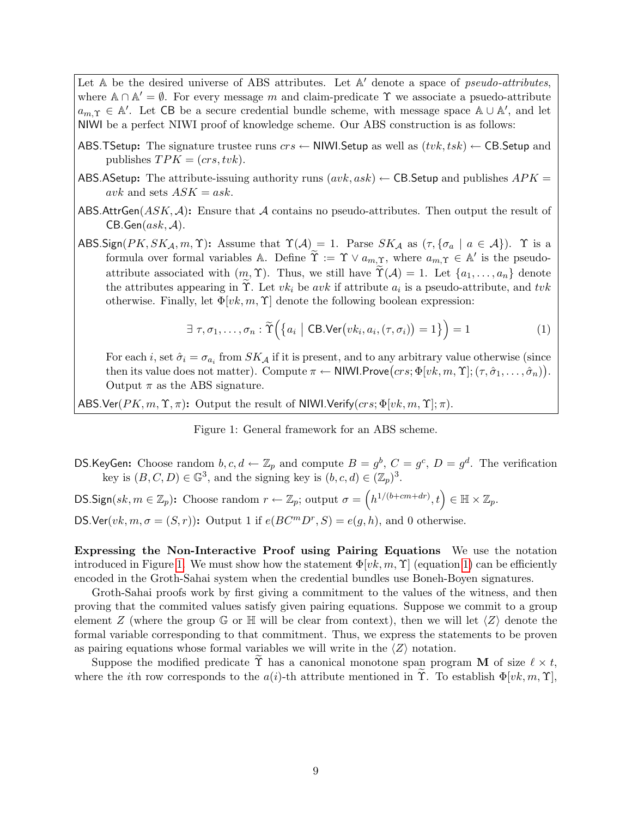Let  $A$  be the desired universe of ABS attributes. Let  $A'$  denote a space of *pseudo-attributes*, where  $\mathbb{A} \cap \mathbb{A}' = \emptyset$ . For every message m and claim-predicate  $\Upsilon$  we associate a psuedo-attribute  $a_{m,\Upsilon} \in \mathbb{A}'$ . Let CB be a secure credential bundle scheme, with message space  $\mathbb{A} \cup \mathbb{A}'$ , and let NIWI be a perfect NIWI proof of knowledge scheme. Our ABS construction is as follows:

- ABS. TSetup: The signature trustee runs  $crs \leftarrow$  NIWI. Setup as well as  $(tvk, tsk) \leftarrow$  CB. Setup and publishes  $TPK = (crs, tvk)$ .
- ABS.ASetup: The attribute-issuing authority runs  $(avk, ask) \leftarrow$  CB.Setup and publishes  $APK =$ avk and sets  $ASK = ask$ .
- ABS.AttrGen( $ASK$ , A): Ensure that A contains no pseudo-attributes. Then output the result of  $CB.Gen(ask, \mathcal{A}).$
- ABS.Sign( $PK, SK_A, m, \Upsilon$ ): Assume that  $\Upsilon(A) = 1$ . Parse  $SK_A$  as  $(\tau, {\{\sigma_a \mid a \in A\}})$ .  $\Upsilon$  is a formula over formal variables A. Define  $\widetilde{\Upsilon} := \Upsilon \vee a_{m,\widetilde{\Upsilon}}$ , where  $a_{m,\Upsilon} \in A'$  is the pseudoattribute associated with  $(m, \Upsilon)$ . Thus, we still have  $\Upsilon(\mathcal{A}) = 1$ . Let  $\{a_1, \ldots, a_n\}$  denote the attributes appearing in  $\Upsilon$ . Let  $vk_i$  be avk if attribute  $a_i$  is a pseudo-attribute, and tvk otherwise. Finally, let  $\Phi[vk, m, \Upsilon]$  denote the following boolean expression:

<span id="page-8-1"></span>
$$
\exists \tau, \sigma_1, \dots, \sigma_n : \widetilde{\Upsilon}\Big(\big\{a_i \mid \mathsf{CB}.\mathsf{Ver}\big(vk_i, a_i, (\tau, \sigma_i)\big) = 1\big\}\Big) = 1 \tag{1}
$$

For each *i*, set  $\hat{\sigma}_i = \sigma_{a_i}$  from  $SK_{\mathcal{A}}$  if it is present, and to any arbitrary value otherwise (since then its value does not matter). Compute  $\pi \leftarrow \text{NIWI.Prove}(crs; \Phi[vk, m, \Upsilon]; (\tau, \hat{\sigma}_1, \dots, \hat{\sigma}_n)).$ Output  $\pi$  as the ABS signature.

ABS.Ver( $PK, m, \Upsilon, \pi$ ): Output the result of NIWI.Verify( $crs; \Phi[vk, m, \Upsilon]; \pi$ ).

<span id="page-8-0"></span>Figure 1: General framework for an ABS scheme.

- DS.KeyGen: Choose random  $b, c, d \leftarrow \mathbb{Z}_p$  and compute  $B = g^b, C = g^c, D = g^d$ . The verification key is  $(B, C, D) \in \mathbb{G}^3$ , and the signing key is  $(b, c, d) \in (\mathbb{Z}_p)^3$ .
- $DS. Sign(sk, m \in \mathbb{Z}_p$ : Choose random  $r \leftarrow \mathbb{Z}_p$ ; output  $\sigma = (h^{1/(b+cm+dr)}, t) \in \mathbb{H} \times \mathbb{Z}_p$ .

DS.Ver $(vk, m, \sigma = (S, r))$ : Output 1 if  $e(BC^mD^r, S) = e(g, h)$ , and 0 otherwise.

Expressing the Non-Interactive Proof using Pairing Equations We use the notation introduced in Figure [1.](#page-8-0) We must show how the statement  $\Phi[vk, m, \Upsilon]$  (equation [1\)](#page-8-1) can be efficiently encoded in the Groth-Sahai system when the credential bundles use Boneh-Boyen signatures.

Groth-Sahai proofs work by first giving a commitment to the values of the witness, and then proving that the commited values satisfy given pairing equations. Suppose we commit to a group element Z (where the group G or H will be clear from context), then we will let  $\langle Z \rangle$  denote the formal variable corresponding to that commitment. Thus, we express the statements to be proven as pairing equations whose formal variables we will write in the  $\langle Z \rangle$  notation.

Suppose the modified predicate  $\tilde{\Upsilon}$  has a canonical monotone span program **M** of size  $\ell \times t$ , where the *i*th row corresponds to the  $a(i)$ -th attribute mentioned in  $\Upsilon$ . To establish  $\Phi[vk, m, \Upsilon]$ ,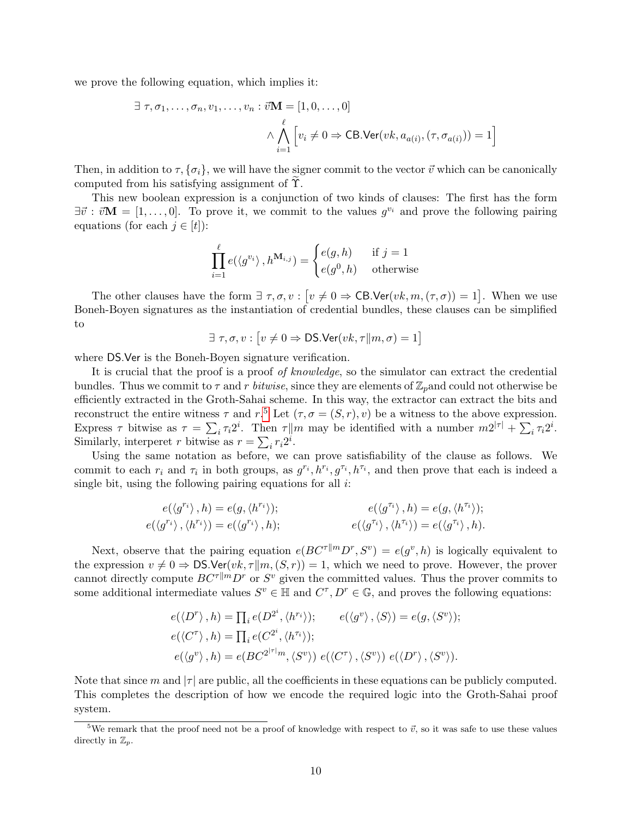we prove the following equation, which implies it:

$$
\exists \tau, \sigma_1, \dots, \sigma_n, v_1, \dots, v_n : \vec{v} \mathbf{M} = [1, 0, \dots, 0]
$$

$$
\wedge \bigwedge_{i=1}^{\ell} \left[ v_i \neq 0 \Rightarrow \text{CB.Ver}(vk, a_{a(i)}, (\tau, \sigma_{a(i)})) = 1 \right]
$$

Then, in addition to  $\tau$ ,  $\{\sigma_i\}$ , we will have the signer commit to the vector  $\vec{v}$  which can be canonically computed from his satisfying assignment of  $\Upsilon$ .

This new boolean expression is a conjunction of two kinds of clauses: The first has the form  $\exists \vec{v} : \vec{v} \mathbf{M} = [1, \dots, 0].$  To prove it, we commit to the values  $g^{v_i}$  and prove the following pairing equations (for each  $j \in [t]$ ):

$$
\prod_{i=1}^{\ell} e(\langle g^{v_i} \rangle, h^{\mathbf{M}_{i,j}}) = \begin{cases} e(g, h) & \text{if } j = 1\\ e(g^0, h) & \text{otherwise} \end{cases}
$$

The other clauses have the form  $\exists \tau, \sigma, v : [v \neq 0 \Rightarrow \text{CB.Ver}(vk, m, (\tau, \sigma)) = 1]$ . When we use Boneh-Boyen signatures as the instantiation of credential bundles, these clauses can be simplified to

$$
\exists \tau, \sigma, v : [v \neq 0 \Rightarrow \text{DS.Ver}(vk, \tau || m, \sigma) = 1]
$$

where DS.Ver is the Boneh-Boyen signature verification.

It is crucial that the proof is a proof of knowledge, so the simulator can extract the credential bundles. Thus we commit to  $\tau$  and r bitwise, since they are elements of  $\mathbb{Z}_p$  and could not otherwise be efficiently extracted in the Groth-Sahai scheme. In this way, the extractor can extract the bits and reconstruct the entire witness  $\tau$  and  $r$ <sup>[5](#page-9-0)</sup>. Let  $(\tau, \sigma = (S, r), v)$  be a witness to the above expression. Express  $\tau$  bitwise as  $\tau = \sum_i \tau_i 2^i$ . Then  $\tau || m$  may be identified with a number  $m2^{|\tau|} + \sum_i \tau_i 2^i$ . Similarly, interperet r bitwise as  $r = \sum_i r_i 2^i$ .

Using the same notation as before, we can prove satisfiability of the clause as follows. We commit to each  $r_i$  and  $\tau_i$  in both groups, as  $g^{r_i}, h^{r_i}, g^{\tau_i}, h^{\tau_i}$ , and then prove that each is indeed a single bit, using the following pairing equations for all  $i$ .

$$
e(\langle g^{r_i} \rangle, h) = e(g, \langle h^{r_i} \rangle);
$$
  
\n
$$
e(\langle g^{r_i} \rangle, \langle h^{r_i} \rangle) = e(\langle g^{r_i} \rangle, h);
$$
  
\n
$$
e(\langle g^{r_i} \rangle, \langle h^{r_i} \rangle) = e(\langle g^{r_i} \rangle, h);
$$
  
\n
$$
e(\langle g^{r_i} \rangle, \langle h^{r_i} \rangle) = e(\langle g^{r_i} \rangle, h).
$$

Next, observe that the pairing equation  $e(BC^{\tau||m}D^r, S^v) = e(g^v, h)$  is logically equivalent to the expression  $v \neq 0 \Rightarrow DS.Ver(vk, \tau || m, (S, r)) = 1$ , which we need to prove. However, the prover cannot directly compute  $BC^{\tau||m}D^r$  or  $S^v$  given the committed values. Thus the prover commits to some additional intermediate values  $S^v \in \mathbb{H}$  and  $C^{\tau}, D^r \in \mathbb{G}$ , and proves the following equations:

$$
e(\langle D^r \rangle, h) = \prod_i e(D^{2^i}, \langle h^{r_i} \rangle); \qquad e(\langle g^v \rangle, \langle S \rangle) = e(g, \langle S^v \rangle);
$$
  
\n
$$
e(\langle C^{\tau} \rangle, h) = \prod_i e(C^{2^i}, \langle h^{\tau_i} \rangle);
$$
  
\n
$$
e(\langle g^v \rangle, h) = e(BC^{2^{|\tau|}m}, \langle S^v \rangle) e(\langle C^{\tau} \rangle, \langle S^v \rangle) e(\langle D^r \rangle, \langle S^v \rangle).
$$

Note that since m and  $|\tau|$  are public, all the coefficients in these equations can be publicly computed. This completes the description of how we encode the required logic into the Groth-Sahai proof system.

<span id="page-9-0"></span><sup>&</sup>lt;sup>5</sup>We remark that the proof need not be a proof of knowledge with respect to  $\vec{v}$ , so it was safe to use these values directly in  $\mathbb{Z}_p$ .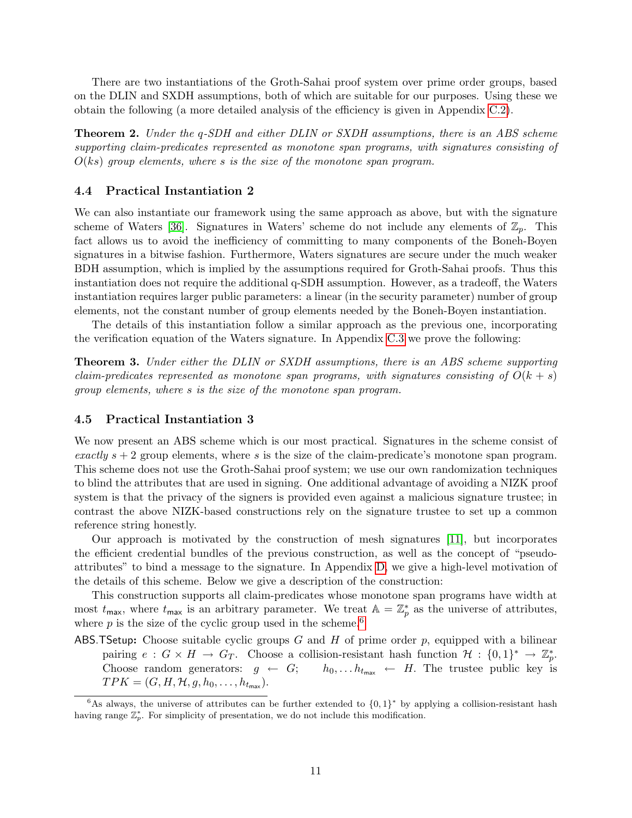There are two instantiations of the Groth-Sahai proof system over prime order groups, based on the DLIN and SXDH assumptions, both of which are suitable for our purposes. Using these we obtain the following (a more detailed analysis of the efficiency is given in Appendix [C.2\)](#page-18-1).

**Theorem 2.** Under the q-SDH and either DLIN or SXDH assumptions, there is an ABS scheme supporting claim-predicates represented as monotone span programs, with signatures consisting of  $O(ks)$  group elements, where s is the size of the monotone span program.

#### 4.4 Practical Instantiation 2

We can also instantiate our framework using the same approach as above, but with the signature scheme of Waters [\[36\]](#page-15-3). Signatures in Waters' scheme do not include any elements of  $\mathbb{Z}_p$ . This fact allows us to avoid the inefficiency of committing to many components of the Boneh-Boyen signatures in a bitwise fashion. Furthermore, Waters signatures are secure under the much weaker BDH assumption, which is implied by the assumptions required for Groth-Sahai proofs. Thus this instantiation does not require the additional q-SDH assumption. However, as a tradeoff, the Waters instantiation requires larger public parameters: a linear (in the security parameter) number of group elements, not the constant number of group elements needed by the Boneh-Boyen instantiation.

The details of this instantiation follow a similar approach as the previous one, incorporating the verification equation of the Waters signature. In Appendix [C.3](#page-19-0) we prove the following:

Theorem 3. Under either the DLIN or SXDH assumptions, there is an ABS scheme supporting claim-predicates represented as monotone span programs, with signatures consisting of  $O(k + s)$ group elements, where s is the size of the monotone span program.

### <span id="page-10-1"></span>4.5 Practical Instantiation 3

We now present an ABS scheme which is our most practical. Signatures in the scheme consist of exactly  $s + 2$  group elements, where s is the size of the claim-predicate's monotone span program. This scheme does not use the Groth-Sahai proof system; we use our own randomization techniques to blind the attributes that are used in signing. One additional advantage of avoiding a NIZK proof system is that the privacy of the signers is provided even against a malicious signature trustee; in contrast the above NIZK-based constructions rely on the signature trustee to set up a common reference string honestly.

Our approach is motivated by the construction of mesh signatures [\[11\]](#page-14-1), but incorporates the efficient credential bundles of the previous construction, as well as the concept of "pseudoattributes" to bind a message to the signature. In Appendix [D,](#page-21-0) we give a high-level motivation of the details of this scheme. Below we give a description of the construction:

This construction supports all claim-predicates whose monotone span programs have width at most  $t_{\text{max}}$ , where  $t_{\text{max}}$  is an arbitrary parameter. We treat  $\mathbb{A} = \mathbb{Z}_p^*$  as the universe of attributes, where p is the size of the cyclic group used in the scheme.<sup>[6](#page-10-0)</sup>

ABS. TSetup: Choose suitable cyclic groups G and H of prime order p, equipped with a bilinear pairing  $e: G \times H \to G_T$ . Choose a collision-resistant hash function  $\mathcal{H}: \{0,1\}^* \to \mathbb{Z}_p^*$ . Choose random generators:  $g \leftarrow G; \quad h_0, \ldots h_{t_{\text{max}}} \leftarrow H.$  The trustee public key is  $TPK = (G, H, \mathcal{H}, g, h_0, \ldots, h_{t_{\text{max}}}).$ 

<span id="page-10-0"></span><sup>&</sup>lt;sup>6</sup>As always, the universe of attributes can be further extended to  $\{0,1\}^*$  by applying a collision-resistant hash having range  $\mathbb{Z}_p^*$ . For simplicity of presentation, we do not include this modification.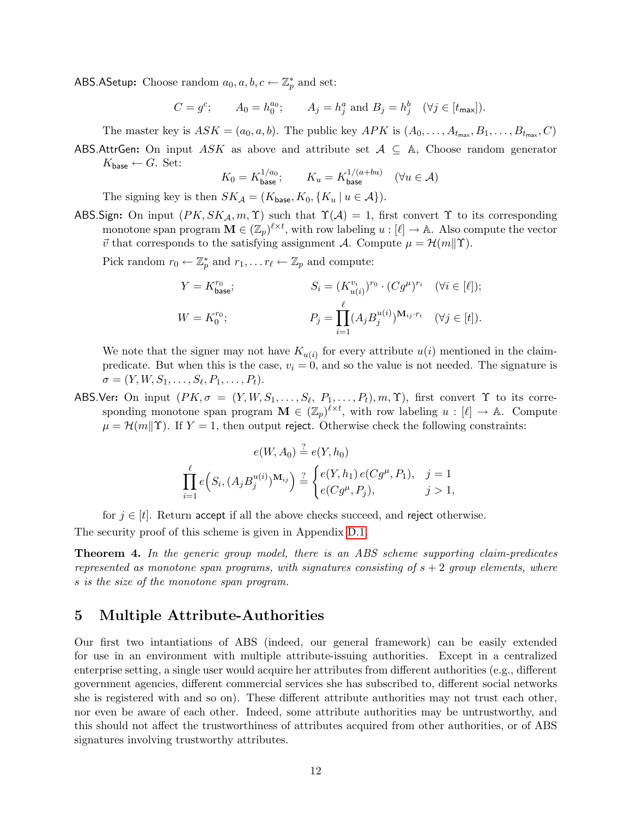ABS.ASetup: Choose random  $a_0, a, b, c \leftarrow \mathbb{Z}_p^*$  and set:

$$
C = g^c
$$
;  $A_0 = h_0^{a_0}$ ;  $A_j = h_j^a$  and  $B_j = h_j^b$  ( $\forall j \in [t_{\text{max}}]$ ).

The master key is  $ASK = (a_0, a, b)$ . The public key  $APK$  is  $(A_0, \ldots, A_{t_{\text{max}}}, B_1, \ldots, B_{t_{\text{max}}}, C)$ 

ABS.AttrGen: On input ASK as above and attribute set  $A \subseteq A$ , Choose random generator  $K_{\text{base}} \leftarrow G.$  Set:

$$
K_0 = K_{\text{base}}^{1/a_0}; \qquad K_u = K_{\text{base}}^{1/(a+bu)} \quad (\forall u \in \mathcal{A})
$$

The signing key is then  $SK_{\mathcal{A}} = (K_{\text{base}}, K_0, \{K_u \mid u \in \mathcal{A}\}).$ 

ABS.Sign: On input  $(PK, SK_A, m, \Upsilon)$  such that  $\Upsilon(\mathcal{A}) = 1$ , first convert  $\Upsilon$  to its corresponding monotone span program  $\mathbf{M} \in (\mathbb{Z}_p)^{\ell \times t}$ , with row labeling  $u : [\ell] \to \mathbb{A}$ . Also compute the vector  $\vec{v}$  that corresponds to the satisfying assignment A. Compute  $\mu = \mathcal{H}(m||\Upsilon)$ .

Pick random  $r_0 \leftarrow \mathbb{Z}_p^*$  and  $r_1, \ldots r_\ell \leftarrow \mathbb{Z}_p$  and compute:

$$
Y = K_{\text{base}}^{r_0}; \qquad S_i = (K_{u(i)}^{v_i})^{r_0} \cdot (Cg^{\mu})^{r_i} \quad (\forall i \in [\ell]);
$$
  

$$
W = K_0^{r_0}; \qquad P_j = \prod_{i=1}^{\ell} (A_j B_j^{u(i)})^{M_{ij} \cdot r_i} \quad (\forall j \in [t]).
$$

We note that the signer may not have  $K_{u(i)}$  for every attribute  $u(i)$  mentioned in the claimpredicate. But when this is the case,  $v_i = 0$ , and so the value is not needed. The signature is  $\sigma = (Y, W, S_1, \ldots, S_{\ell}, P_1, \ldots, P_t).$ 

ABS.Ver: On input  $(PK, \sigma = (Y, W, S_1, \ldots, S_\ell, P_1, \ldots, P_t), m, \Upsilon)$ , first convert  $\Upsilon$  to its corresponding monotone span program  $\mathbf{M} \in (\mathbb{Z}_p)^{\ell \times t}$ , with row labeling  $u : [\ell] \to \mathbb{A}$ . Compute  $\mu = \mathcal{H}(m||\Upsilon)$ . If  $Y = 1$ , then output reject. Otherwise check the following constraints:

$$
e(W, A_0) \stackrel{?}{=} e(Y, h_0)
$$
  

$$
\prod_{i=1}^{\ell} e(S_i, (A_j B_j^{u(i)})^{M_{ij}}) \stackrel{?}{=} \begin{cases} e(Y, h_1) e(Cg^{\mu}, P_1), & j = 1\\ e(Cg^{\mu}, P_j), & j > 1, \end{cases}
$$

for  $j \in [t]$ . Return accept if all the above checks succeed, and reject otherwise.

The security proof of this scheme is given in Appendix [D.1.](#page-22-0)

Theorem 4. In the generic group model, there is an ABS scheme supporting claim-predicates represented as monotone span programs, with signatures consisting of  $s + 2$  group elements, where s is the size of the monotone span program.

### <span id="page-11-0"></span>5 Multiple Attribute-Authorities

Our first two intantiations of ABS (indeed, our general framework) can be easily extended for use in an environment with multiple attribute-issuing authorities. Except in a centralized enterprise setting, a single user would acquire her attributes from different authorities (e.g., different government agencies, different commercial services she has subscribed to, different social networks she is registered with and so on). These different attribute authorities may not trust each other, nor even be aware of each other. Indeed, some attribute authorities may be untrustworthy, and this should not affect the trustworthiness of attributes acquired from other authorities, or of ABS signatures involving trustworthy attributes.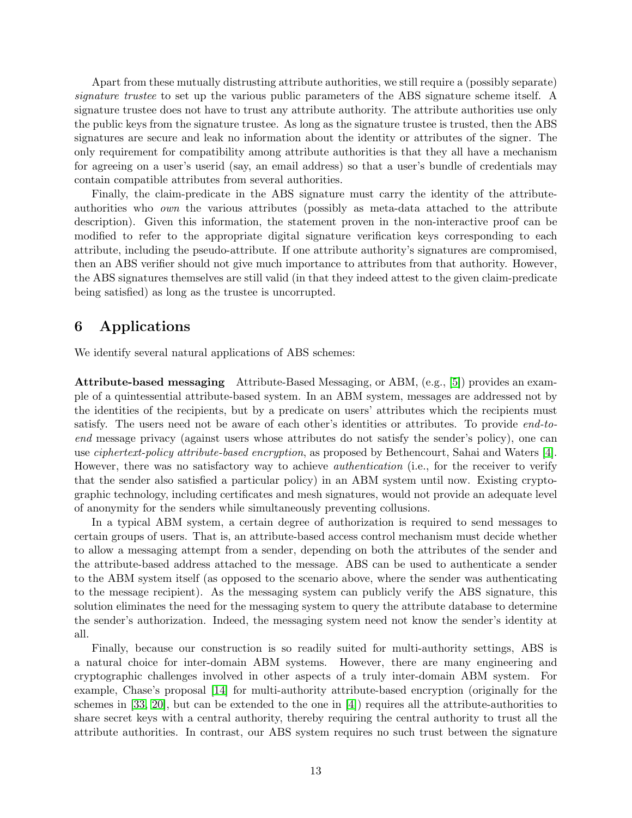Apart from these mutually distrusting attribute authorities, we still require a (possibly separate) signature trustee to set up the various public parameters of the ABS signature scheme itself. A signature trustee does not have to trust any attribute authority. The attribute authorities use only the public keys from the signature trustee. As long as the signature trustee is trusted, then the ABS signatures are secure and leak no information about the identity or attributes of the signer. The only requirement for compatibility among attribute authorities is that they all have a mechanism for agreeing on a user's userid (say, an email address) so that a user's bundle of credentials may contain compatible attributes from several authorities.

Finally, the claim-predicate in the ABS signature must carry the identity of the attributeauthorities who own the various attributes (possibly as meta-data attached to the attribute description). Given this information, the statement proven in the non-interactive proof can be modified to refer to the appropriate digital signature verification keys corresponding to each attribute, including the pseudo-attribute. If one attribute authority's signatures are compromised, then an ABS verifier should not give much importance to attributes from that authority. However, the ABS signatures themselves are still valid (in that they indeed attest to the given claim-predicate being satisfied) as long as the trustee is uncorrupted.

## <span id="page-12-0"></span>6 Applications

We identify several natural applications of ABS schemes:

Attribute-based messaging Attribute-Based Messaging, or ABM, (e.g., [\[5\]](#page-13-3)) provides an example of a quintessential attribute-based system. In an ABM system, messages are addressed not by the identities of the recipients, but by a predicate on users' attributes which the recipients must satisfy. The users need not be aware of each other's identities or attributes. To provide end-toend message privacy (against users whose attributes do not satisfy the sender's policy), one can use ciphertext-policy attribute-based encryption, as proposed by Bethencourt, Sahai and Waters [\[4\]](#page-13-0). However, there was no satisfactory way to achieve *authentication* (i.e., for the receiver to verify that the sender also satisfied a particular policy) in an ABM system until now. Existing cryptographic technology, including certificates and mesh signatures, would not provide an adequate level of anonymity for the senders while simultaneously preventing collusions.

In a typical ABM system, a certain degree of authorization is required to send messages to certain groups of users. That is, an attribute-based access control mechanism must decide whether to allow a messaging attempt from a sender, depending on both the attributes of the sender and the attribute-based address attached to the message. ABS can be used to authenticate a sender to the ABM system itself (as opposed to the scenario above, where the sender was authenticating to the message recipient). As the messaging system can publicly verify the ABS signature, this solution eliminates the need for the messaging system to query the attribute database to determine the sender's authorization. Indeed, the messaging system need not know the sender's identity at all.

Finally, because our construction is so readily suited for multi-authority settings, ABS is a natural choice for inter-domain ABM systems. However, there are many engineering and cryptographic challenges involved in other aspects of a truly inter-domain ABM system. For example, Chase's proposal [\[14\]](#page-14-12) for multi-authority attribute-based encryption (originally for the schemes in [\[33,](#page-15-1) [20\]](#page-14-2), but can be extended to the one in [\[4\]](#page-13-0)) requires all the attribute-authorities to share secret keys with a central authority, thereby requiring the central authority to trust all the attribute authorities. In contrast, our ABS system requires no such trust between the signature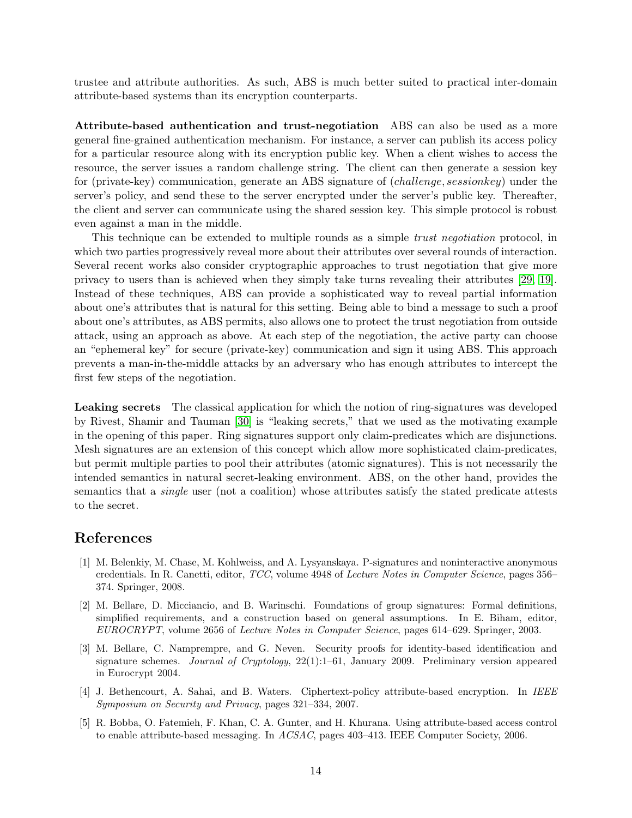trustee and attribute authorities. As such, ABS is much better suited to practical inter-domain attribute-based systems than its encryption counterparts.

Attribute-based authentication and trust-negotiation ABS can also be used as a more general fine-grained authentication mechanism. For instance, a server can publish its access policy for a particular resource along with its encryption public key. When a client wishes to access the resource, the server issues a random challenge string. The client can then generate a session key for (private-key) communication, generate an ABS signature of (challenge, sessionkey) under the server's policy, and send these to the server encrypted under the server's public key. Thereafter, the client and server can communicate using the shared session key. This simple protocol is robust even against a man in the middle.

This technique can be extended to multiple rounds as a simple *trust negotiation* protocol, in which two parties progressively reveal more about their attributes over several rounds of interaction. Several recent works also consider cryptographic approaches to trust negotiation that give more privacy to users than is achieved when they simply take turns revealing their attributes [\[29,](#page-15-10) [19\]](#page-14-16). Instead of these techniques, ABS can provide a sophisticated way to reveal partial information about one's attributes that is natural for this setting. Being able to bind a message to such a proof about one's attributes, as ABS permits, also allows one to protect the trust negotiation from outside attack, using an approach as above. At each step of the negotiation, the active party can choose an "ephemeral key" for secure (private-key) communication and sign it using ABS. This approach prevents a man-in-the-middle attacks by an adversary who has enough attributes to intercept the first few steps of the negotiation.

Leaking secrets The classical application for which the notion of ring-signatures was developed by Rivest, Shamir and Tauman [\[30\]](#page-15-0) is "leaking secrets," that we used as the motivating example in the opening of this paper. Ring signatures support only claim-predicates which are disjunctions. Mesh signatures are an extension of this concept which allow more sophisticated claim-predicates, but permit multiple parties to pool their attributes (atomic signatures). This is not necessarily the intended semantics in natural secret-leaking environment. ABS, on the other hand, provides the semantics that a single user (not a coalition) whose attributes satisfy the stated predicate attests to the secret.

## References

- <span id="page-13-4"></span>[1] M. Belenkiy, M. Chase, M. Kohlweiss, and A. Lysyanskaya. P-signatures and noninteractive anonymous credentials. In R. Canetti, editor, TCC, volume 4948 of Lecture Notes in Computer Science, pages 356– 374. Springer, 2008.
- <span id="page-13-1"></span>[2] M. Bellare, D. Micciancio, and B. Warinschi. Foundations of group signatures: Formal definitions, simplified requirements, and a construction based on general assumptions. In E. Biham, editor, EUROCRYPT, volume 2656 of Lecture Notes in Computer Science, pages 614–629. Springer, 2003.
- <span id="page-13-2"></span>[3] M. Bellare, C. Namprempre, and G. Neven. Security proofs for identity-based identification and signature schemes. Journal of Cryptology, 22(1):1–61, January 2009. Preliminary version appeared in Eurocrypt 2004.
- <span id="page-13-0"></span>[4] J. Bethencourt, A. Sahai, and B. Waters. Ciphertext-policy attribute-based encryption. In IEEE Symposium on Security and Privacy, pages 321–334, 2007.
- <span id="page-13-3"></span>[5] R. Bobba, O. Fatemieh, F. Khan, C. A. Gunter, and H. Khurana. Using attribute-based access control to enable attribute-based messaging. In ACSAC, pages 403–413. IEEE Computer Society, 2006.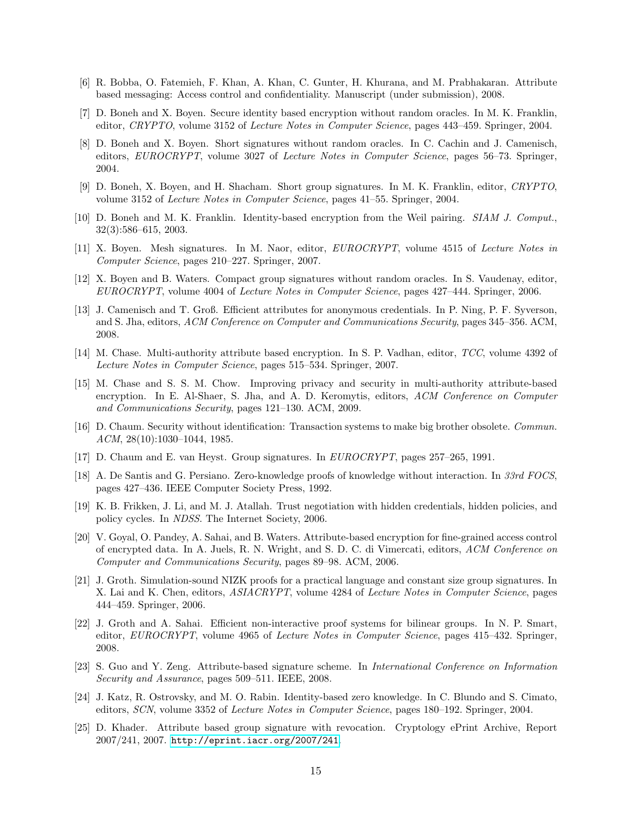- <span id="page-14-19"></span>[6] R. Bobba, O. Fatemieh, F. Khan, A. Khan, C. Gunter, H. Khurana, and M. Prabhakaran. Attribute based messaging: Access control and confidentiality. Manuscript (under submission), 2008.
- <span id="page-14-15"></span>[7] D. Boneh and X. Boyen. Secure identity based encryption without random oracles. In M. K. Franklin, editor, CRYPTO, volume 3152 of Lecture Notes in Computer Science, pages 443–459. Springer, 2004.
- <span id="page-14-3"></span>[8] D. Boneh and X. Boyen. Short signatures without random oracles. In C. Cachin and J. Camenisch, editors, EUROCRYPT, volume 3027 of Lecture Notes in Computer Science, pages 56–73. Springer, 2004.
- <span id="page-14-14"></span>[9] D. Boneh, X. Boyen, and H. Shacham. Short group signatures. In M. K. Franklin, editor, CRYPTO, volume 3152 of Lecture Notes in Computer Science, pages 41–55. Springer, 2004.
- <span id="page-14-6"></span>[10] D. Boneh and M. K. Franklin. Identity-based encryption from the Weil pairing. SIAM J. Comput., 32(3):586–615, 2003.
- <span id="page-14-1"></span>[11] X. Boyen. Mesh signatures. In M. Naor, editor, EUROCRYPT, volume 4515 of Lecture Notes in Computer Science, pages 210–227. Springer, 2007.
- <span id="page-14-8"></span>[12] X. Boyen and B. Waters. Compact group signatures without random oracles. In S. Vaudenay, editor, EUROCRYPT, volume 4004 of Lecture Notes in Computer Science, pages 427–444. Springer, 2006.
- <span id="page-14-17"></span>[13] J. Camenisch and T. Groß. Efficient attributes for anonymous credentials. In P. Ning, P. F. Syverson, and S. Jha, editors, ACM Conference on Computer and Communications Security, pages 345–356. ACM, 2008.
- <span id="page-14-12"></span>[14] M. Chase. Multi-authority attribute based encryption. In S. P. Vadhan, editor, TCC, volume 4392 of Lecture Notes in Computer Science, pages 515–534. Springer, 2007.
- <span id="page-14-13"></span>[15] M. Chase and S. S. M. Chow. Improving privacy and security in multi-authority attribute-based encryption. In E. Al-Shaer, S. Jha, and A. D. Keromytis, editors, ACM Conference on Computer and Communications Security, pages 121–130. ACM, 2009.
- <span id="page-14-11"></span>[16] D. Chaum. Security without identification: Transaction systems to make big brother obsolete. Commun. ACM, 28(10):1030–1044, 1985.
- <span id="page-14-0"></span>[17] D. Chaum and E. van Heyst. Group signatures. In EUROCRYPT, pages 257–265, 1991.
- <span id="page-14-18"></span>[18] A. De Santis and G. Persiano. Zero-knowledge proofs of knowledge without interaction. In 33rd FOCS, pages 427–436. IEEE Computer Society Press, 1992.
- <span id="page-14-16"></span>[19] K. B. Frikken, J. Li, and M. J. Atallah. Trust negotiation with hidden credentials, hidden policies, and policy cycles. In NDSS. The Internet Society, 2006.
- <span id="page-14-2"></span>[20] V. Goyal, O. Pandey, A. Sahai, and B. Waters. Attribute-based encryption for fine-grained access control of encrypted data. In A. Juels, R. N. Wright, and S. D. C. di Vimercati, editors, ACM Conference on Computer and Communications Security, pages 89–98. ACM, 2006.
- <span id="page-14-5"></span>[21] J. Groth. Simulation-sound NIZK proofs for a practical language and constant size group signatures. In X. Lai and K. Chen, editors, ASIACRYPT, volume 4284 of Lecture Notes in Computer Science, pages 444–459. Springer, 2006.
- <span id="page-14-4"></span>[22] J. Groth and A. Sahai. Efficient non-interactive proof systems for bilinear groups. In N. P. Smart, editor, EUROCRYPT, volume 4965 of Lecture Notes in Computer Science, pages 415–432. Springer, 2008.
- <span id="page-14-10"></span>[23] S. Guo and Y. Zeng. Attribute-based signature scheme. In International Conference on Information Security and Assurance, pages 509–511. IEEE, 2008.
- <span id="page-14-7"></span>[24] J. Katz, R. Ostrovsky, and M. O. Rabin. Identity-based zero knowledge. In C. Blundo and S. Cimato, editors, SCN, volume 3352 of Lecture Notes in Computer Science, pages 180–192. Springer, 2004.
- <span id="page-14-9"></span>[25] D. Khader. Attribute based group signature with revocation. Cryptology ePrint Archive, Report 2007/241, 2007. <http://eprint.iacr.org/2007/241>.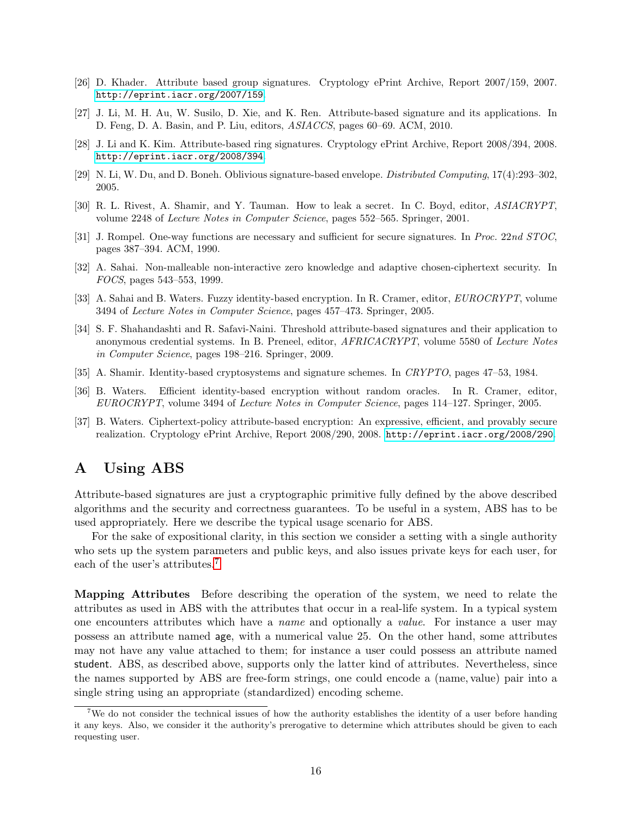- <span id="page-15-4"></span>[26] D. Khader. Attribute based group signatures. Cryptology ePrint Archive, Report 2007/159, 2007. <http://eprint.iacr.org/2007/159>.
- <span id="page-15-7"></span>[27] J. Li, M. H. Au, W. Susilo, D. Xie, and K. Ren. Attribute-based signature and its applications. In D. Feng, D. A. Basin, and P. Liu, editors, ASIACCS, pages 60–69. ACM, 2010.
- <span id="page-15-5"></span>[28] J. Li and K. Kim. Attribute-based ring signatures. Cryptology ePrint Archive, Report 2008/394, 2008. <http://eprint.iacr.org/2008/394>.
- <span id="page-15-10"></span>[29] N. Li, W. Du, and D. Boneh. Oblivious signature-based envelope. Distributed Computing, 17(4):293–302, 2005.
- <span id="page-15-0"></span>[30] R. L. Rivest, A. Shamir, and Y. Tauman. How to leak a secret. In C. Boyd, editor, ASIACRYPT, volume 2248 of Lecture Notes in Computer Science, pages 552–565. Springer, 2001.
- <span id="page-15-12"></span>[31] J. Rompel. One-way functions are necessary and sufficient for secure signatures. In Proc. 22nd STOC, pages 387–394. ACM, 1990.
- <span id="page-15-13"></span>[32] A. Sahai. Non-malleable non-interactive zero knowledge and adaptive chosen-ciphertext security. In FOCS, pages 543–553, 1999.
- <span id="page-15-1"></span>[33] A. Sahai and B. Waters. Fuzzy identity-based encryption. In R. Cramer, editor, *EUROCRYPT*, volume 3494 of Lecture Notes in Computer Science, pages 457–473. Springer, 2005.
- <span id="page-15-6"></span>[34] S. F. Shahandashti and R. Safavi-Naini. Threshold attribute-based signatures and their application to anonymous credential systems. In B. Preneel, editor, AFRICACRYPT, volume 5580 of Lecture Notes in Computer Science, pages 198–216. Springer, 2009.
- <span id="page-15-8"></span>[35] A. Shamir. Identity-based cryptosystems and signature schemes. In CRYPTO, pages 47–53, 1984.
- <span id="page-15-3"></span>[36] B. Waters. Efficient identity-based encryption without random oracles. In R. Cramer, editor, EUROCRYPT, volume 3494 of Lecture Notes in Computer Science, pages 114–127. Springer, 2005.
- <span id="page-15-2"></span>[37] B. Waters. Ciphertext-policy attribute-based encryption: An expressive, efficient, and provably secure realization. Cryptology ePrint Archive, Report 2008/290, 2008. <http://eprint.iacr.org/2008/290>.

## <span id="page-15-9"></span>A Using ABS

Attribute-based signatures are just a cryptographic primitive fully defined by the above described algorithms and the security and correctness guarantees. To be useful in a system, ABS has to be used appropriately. Here we describe the typical usage scenario for ABS.

For the sake of expositional clarity, in this section we consider a setting with a single authority who sets up the system parameters and public keys, and also issues private keys for each user, for each of the user's attributes.[7](#page-15-11)

Mapping Attributes Before describing the operation of the system, we need to relate the attributes as used in ABS with the attributes that occur in a real-life system. In a typical system one encounters attributes which have a name and optionally a value. For instance a user may possess an attribute named age, with a numerical value 25. On the other hand, some attributes may not have any value attached to them; for instance a user could possess an attribute named student. ABS, as described above, supports only the latter kind of attributes. Nevertheless, since the names supported by ABS are free-form strings, one could encode a (name, value) pair into a single string using an appropriate (standardized) encoding scheme.

<span id="page-15-11"></span><sup>7</sup>We do not consider the technical issues of how the authority establishes the identity of a user before handing it any keys. Also, we consider it the authority's prerogative to determine which attributes should be given to each requesting user.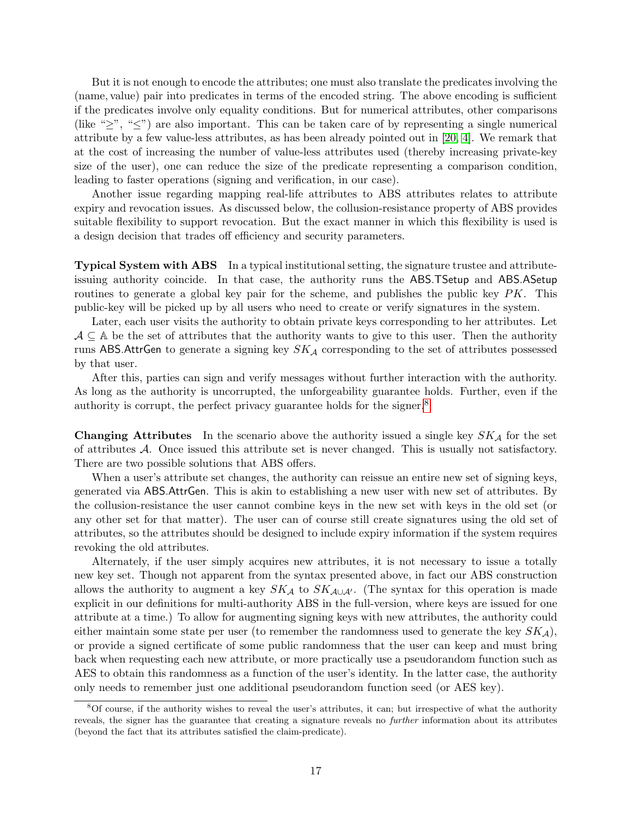But it is not enough to encode the attributes; one must also translate the predicates involving the (name, value) pair into predicates in terms of the encoded string. The above encoding is sufficient if the predicates involve only equality conditions. But for numerical attributes, other comparisons (like " $\geq$ ", " $\leq$ ") are also important. This can be taken care of by representing a single numerical attribute by a few value-less attributes, as has been already pointed out in [\[20,](#page-14-2) [4\]](#page-13-0). We remark that at the cost of increasing the number of value-less attributes used (thereby increasing private-key size of the user), one can reduce the size of the predicate representing a comparison condition, leading to faster operations (signing and verification, in our case).

Another issue regarding mapping real-life attributes to ABS attributes relates to attribute expiry and revocation issues. As discussed below, the collusion-resistance property of ABS provides suitable flexibility to support revocation. But the exact manner in which this flexibility is used is a design decision that trades off efficiency and security parameters.

Typical System with ABS In a typical institutional setting, the signature trustee and attributeissuing authority coincide. In that case, the authority runs the ABS.TSetup and ABS.ASetup routines to generate a global key pair for the scheme, and publishes the public key PK. This public-key will be picked up by all users who need to create or verify signatures in the system.

Later, each user visits the authority to obtain private keys corresponding to her attributes. Let  $A \subseteq A$  be the set of attributes that the authority wants to give to this user. Then the authority runs ABS. AttrGen to generate a signing key  $SK_{\mathcal{A}}$  corresponding to the set of attributes possessed by that user.

After this, parties can sign and verify messages without further interaction with the authority. As long as the authority is uncorrupted, the unforgeability guarantee holds. Further, even if the authority is corrupt, the perfect privacy guarantee holds for the signer.[8](#page-16-0)

**Changing Attributes** In the scenario above the authority issued a single key  $SK_A$  for the set of attributes  $\mathcal{A}$ . Once issued this attribute set is never changed. This is usually not satisfactory. There are two possible solutions that ABS offers.

When a user's attribute set changes, the authority can reissue an entire new set of signing keys, generated via ABS.AttrGen. This is akin to establishing a new user with new set of attributes. By the collusion-resistance the user cannot combine keys in the new set with keys in the old set (or any other set for that matter). The user can of course still create signatures using the old set of attributes, so the attributes should be designed to include expiry information if the system requires revoking the old attributes.

Alternately, if the user simply acquires new attributes, it is not necessary to issue a totally new key set. Though not apparent from the syntax presented above, in fact our ABS construction allows the authority to augment a key  $SK_{\mathcal{A}}$  to  $SK_{\mathcal{A}\cup\mathcal{A}}$ . (The syntax for this operation is made explicit in our definitions for multi-authority ABS in the full-version, where keys are issued for one attribute at a time.) To allow for augmenting signing keys with new attributes, the authority could either maintain some state per user (to remember the randomness used to generate the key  $SK_A$ ), or provide a signed certificate of some public randomness that the user can keep and must bring back when requesting each new attribute, or more practically use a pseudorandom function such as AES to obtain this randomness as a function of the user's identity. In the latter case, the authority only needs to remember just one additional pseudorandom function seed (or AES key).

<span id="page-16-0"></span><sup>8</sup>Of course, if the authority wishes to reveal the user's attributes, it can; but irrespective of what the authority reveals, the signer has the guarantee that creating a signature reveals no further information about its attributes (beyond the fact that its attributes satisfied the claim-predicate).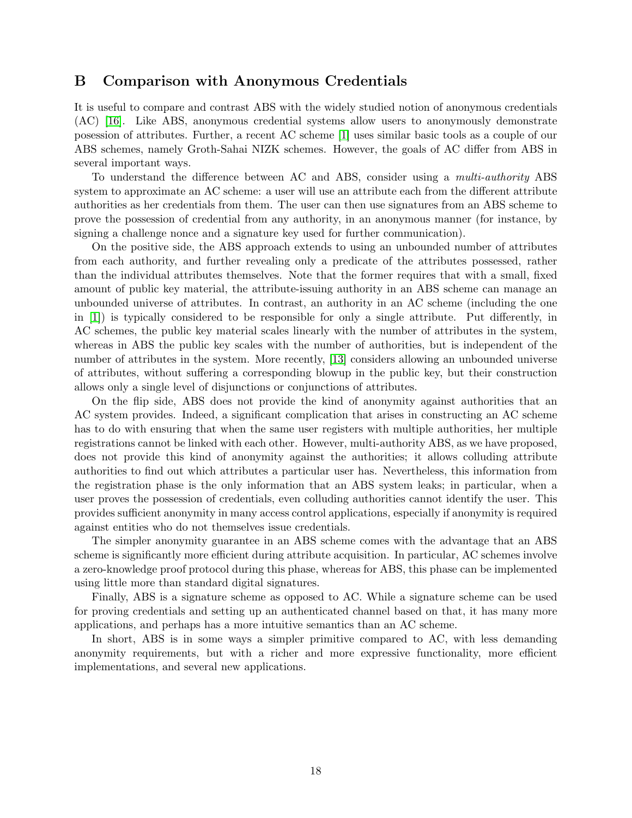## <span id="page-17-0"></span>B Comparison with Anonymous Credentials

It is useful to compare and contrast ABS with the widely studied notion of anonymous credentials (AC) [\[16\]](#page-14-11). Like ABS, anonymous credential systems allow users to anonymously demonstrate posession of attributes. Further, a recent AC scheme [\[1\]](#page-13-4) uses similar basic tools as a couple of our ABS schemes, namely Groth-Sahai NIZK schemes. However, the goals of AC differ from ABS in several important ways.

To understand the difference between AC and ABS, consider using a multi-authority ABS system to approximate an AC scheme: a user will use an attribute each from the different attribute authorities as her credentials from them. The user can then use signatures from an ABS scheme to prove the possession of credential from any authority, in an anonymous manner (for instance, by signing a challenge nonce and a signature key used for further communication).

On the positive side, the ABS approach extends to using an unbounded number of attributes from each authority, and further revealing only a predicate of the attributes possessed, rather than the individual attributes themselves. Note that the former requires that with a small, fixed amount of public key material, the attribute-issuing authority in an ABS scheme can manage an unbounded universe of attributes. In contrast, an authority in an AC scheme (including the one in [\[1\]](#page-13-4)) is typically considered to be responsible for only a single attribute. Put differently, in AC schemes, the public key material scales linearly with the number of attributes in the system, whereas in ABS the public key scales with the number of authorities, but is independent of the number of attributes in the system. More recently, [\[13\]](#page-14-17) considers allowing an unbounded universe of attributes, without suffering a corresponding blowup in the public key, but their construction allows only a single level of disjunctions or conjunctions of attributes.

On the flip side, ABS does not provide the kind of anonymity against authorities that an AC system provides. Indeed, a significant complication that arises in constructing an AC scheme has to do with ensuring that when the same user registers with multiple authorities, her multiple registrations cannot be linked with each other. However, multi-authority ABS, as we have proposed, does not provide this kind of anonymity against the authorities; it allows colluding attribute authorities to find out which attributes a particular user has. Nevertheless, this information from the registration phase is the only information that an ABS system leaks; in particular, when a user proves the possession of credentials, even colluding authorities cannot identify the user. This provides sufficient anonymity in many access control applications, especially if anonymity is required against entities who do not themselves issue credentials.

The simpler anonymity guarantee in an ABS scheme comes with the advantage that an ABS scheme is significantly more efficient during attribute acquisition. In particular, AC schemes involve a zero-knowledge proof protocol during this phase, whereas for ABS, this phase can be implemented using little more than standard digital signatures.

Finally, ABS is a signature scheme as opposed to AC. While a signature scheme can be used for proving credentials and setting up an authenticated channel based on that, it has many more applications, and perhaps has a more intuitive semantics than an AC scheme.

In short, ABS is in some ways a simpler primitive compared to AC, with less demanding anonymity requirements, but with a richer and more expressive functionality, more efficient implementations, and several new applications.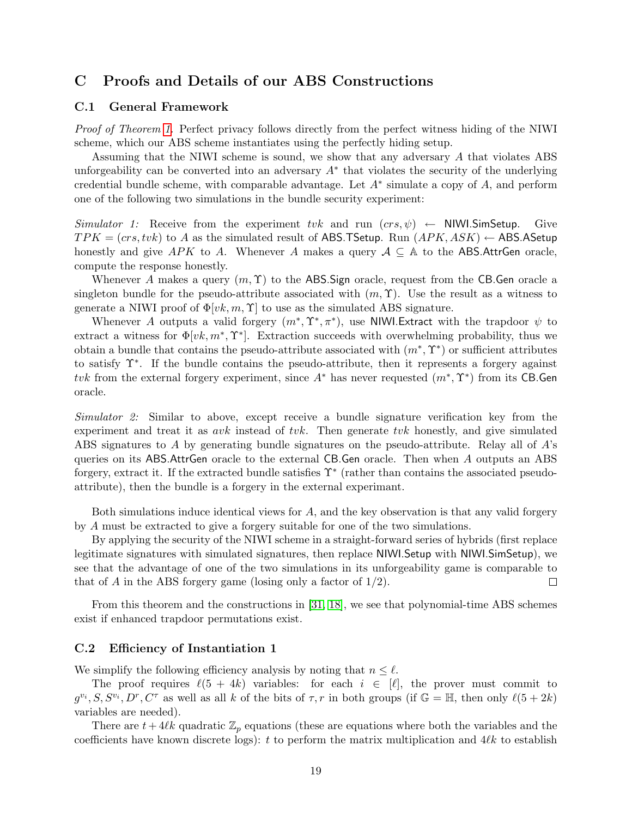## C Proofs and Details of our ABS Constructions

## <span id="page-18-0"></span>C.1 General Framework

Proof of Theorem [1.](#page-7-1) Perfect privacy follows directly from the perfect witness hiding of the NIWI scheme, which our ABS scheme instantiates using the perfectly hiding setup.

Assuming that the NIWI scheme is sound, we show that any adversary A that violates ABS unforgeability can be converted into an adversary  $A^*$  that violates the security of the underlying credential bundle scheme, with comparable advantage. Let  $A^*$  simulate a copy of  $A$ , and perform one of the following two simulations in the bundle security experiment:

Simulator 1: Receive from the experiment tvk and run  $(crs, \psi) \leftarrow$  NIWI.SimSetup. Give  $TPK = (crs, tvk)$  to A as the simulated result of ABS. TSetup. Run  $(APK, ASK) \leftarrow$  ABS. ASetup honestly and give APK to A. Whenever A makes a query  $A \subseteq A$  to the ABS.AttrGen oracle, compute the response honestly.

Whenever A makes a query  $(m, \Upsilon)$  to the ABS.Sign oracle, request from the CB.Gen oracle a singleton bundle for the pseudo-attribute associated with  $(m, \Upsilon)$ . Use the result as a witness to generate a NIWI proof of  $\Phi[vk, m, \Upsilon]$  to use as the simulated ABS signature.

Whenever A outputs a valid forgery  $(m^*, \Upsilon^*, \pi^*)$ , use NIWI. Extract with the trapdoor  $\psi$  to extract a witness for  $\Phi[vk, m^*, \Upsilon^*]$ . Extraction succeeds with overwhelming probability, thus we obtain a bundle that contains the pseudo-attribute associated with  $(m^*, \Upsilon^*)$  or sufficient attributes to satisfy Υ<sup>∗</sup> . If the bundle contains the pseudo-attribute, then it represents a forgery against tvk from the external forgery experiment, since  $A^*$  has never requested  $(m^*, \Upsilon^*)$  from its CB.Gen oracle.

Simulator 2: Similar to above, except receive a bundle signature verification key from the experiment and treat it as  $avk$  instead of  $tvk$ . Then generate  $tvk$  honestly, and give simulated ABS signatures to A by generating bundle signatures on the pseudo-attribute. Relay all of A's queries on its ABS.AttrGen oracle to the external CB.Gen oracle. Then when A outputs an ABS forgery, extract it. If the extracted bundle satisfies  $\Upsilon^*$  (rather than contains the associated pseudoattribute), then the bundle is a forgery in the external experimant.

Both simulations induce identical views for A, and the key observation is that any valid forgery by A must be extracted to give a forgery suitable for one of the two simulations.

By applying the security of the NIWI scheme in a straight-forward series of hybrids (first replace legitimate signatures with simulated signatures, then replace NIWI.Setup with NIWI.SimSetup), we see that the advantage of one of the two simulations in its unforgeability game is comparable to that of A in the ABS forgery game (losing only a factor of  $1/2$ ).  $\Box$ 

From this theorem and the constructions in [\[31,](#page-15-12) [18\]](#page-14-18), we see that polynomial-time ABS schemes exist if enhanced trapdoor permutations exist.

### <span id="page-18-1"></span>C.2 Efficiency of Instantiation 1

We simplify the following efficiency analysis by noting that  $n \leq \ell$ .

The proof requires  $\ell(5 + 4k)$  variables: for each  $i \in [\ell]$ , the prover must commit to  $g^{v_i}, S, S^{v_i}, D^r, C^{\tau}$  as well as all k of the bits of  $\tau, r$  in both groups (if  $\mathbb{G} = \mathbb{H}$ , then only  $\ell(5 + 2k)$ variables are needed).

There are  $t + 4\ell k$  quadratic  $\mathbb{Z}_p$  equations (these are equations where both the variables and the coefficients have known discrete logs): t to perform the matrix multiplication and  $4\ell k$  to establish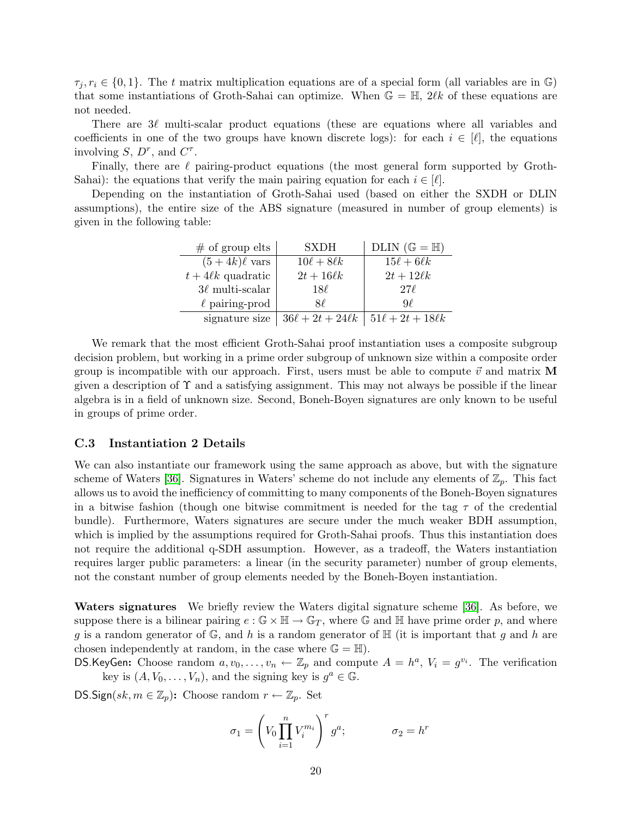$\tau_i, r_i \in \{0, 1\}$ . The t matrix multiplication equations are of a special form (all variables are in G) that some instantiations of Groth-Sahai can optimize. When  $\mathbb{G} = \mathbb{H}$ ,  $2\ell k$  of these equations are not needed.

There are  $3\ell$  multi-scalar product equations (these are equations where all variables and coefficients in one of the two groups have known discrete logs): for each  $i \in [\ell]$ , the equations involving  $S, D^r$ , and  $C^{\tau}$ .

Finally, there are  $\ell$  pairing-product equations (the most general form supported by Groth-Sahai): the equations that verify the main pairing equation for each  $i \in [\ell]$ .

Depending on the instantiation of Groth-Sahai used (based on either the SXDH or DLIN assumptions), the entire size of the ABS signature (measured in number of group elements) is given in the following table:

| $\#$ of group elts      | <b>SXDH</b>              | DLIN $(\mathbb{G} = \mathbb{H})$ |
|-------------------------|--------------------------|----------------------------------|
| $(5+4k)\ell$ vars       | $10\ell + 8\ell k$       | $15\ell + 6\ell k$               |
| $t + 4\ell k$ quadratic | $2t+16\ell k$            | $2t+12\ell k$                    |
| $3\ell$ multi-scalar    | $18\ell$                 | $27\ell$                         |
| $\ell$ pairing-prod     | 8l                       | $Q\rho$                          |
| signature size          | $36\ell + 2t + 24\ell k$ | $51\ell + 2t + 18\ell k$         |

We remark that the most efficient Groth-Sahai proof instantiation uses a composite subgroup decision problem, but working in a prime order subgroup of unknown size within a composite order group is incompatible with our approach. First, users must be able to compute  $\vec{v}$  and matrix M given a description of  $\Upsilon$  and a satisfying assignment. This may not always be possible if the linear algebra is in a field of unknown size. Second, Boneh-Boyen signatures are only known to be useful in groups of prime order.

### <span id="page-19-0"></span>C.3 Instantiation 2 Details

We can also instantiate our framework using the same approach as above, but with the signature scheme of Waters [\[36\]](#page-15-3). Signatures in Waters' scheme do not include any elements of  $\mathbb{Z}_p$ . This fact allows us to avoid the inefficiency of committing to many components of the Boneh-Boyen signatures in a bitwise fashion (though one bitwise commitment is needed for the tag  $\tau$  of the credential bundle). Furthermore, Waters signatures are secure under the much weaker BDH assumption, which is implied by the assumptions required for Groth-Sahai proofs. Thus this instantiation does not require the additional q-SDH assumption. However, as a tradeoff, the Waters instantiation requires larger public parameters: a linear (in the security parameter) number of group elements, not the constant number of group elements needed by the Boneh-Boyen instantiation.

Waters signatures We briefly review the Waters digital signature scheme [\[36\]](#page-15-3). As before, we suppose there is a bilinear pairing  $e : \mathbb{G} \times \mathbb{H} \to \mathbb{G}_T$ , where G and H have prime order p, and where g is a random generator of  $\mathbb{G}$ , and h is a random generator of  $\mathbb{H}$  (it is important that g and h are chosen independently at random, in the case where  $\mathbb{G} = \mathbb{H}$ .

DS.KeyGen: Choose random  $a, v_0, \ldots, v_n \leftarrow \mathbb{Z}_p$  and compute  $A = h^a$ ,  $V_i = g^{v_i}$ . The verification key is  $(A, V_0, \ldots, V_n)$ , and the signing key is  $g^a \in \mathbb{G}$ .

DS.Sign(sk,  $m \in \mathbb{Z}_p$ ): Choose random  $r \leftarrow \mathbb{Z}_p$ . Set

$$
\sigma_1 = \left(V_0 \prod_{i=1}^n V_i^{m_i}\right)^r g^a; \qquad \sigma_2 = h^r
$$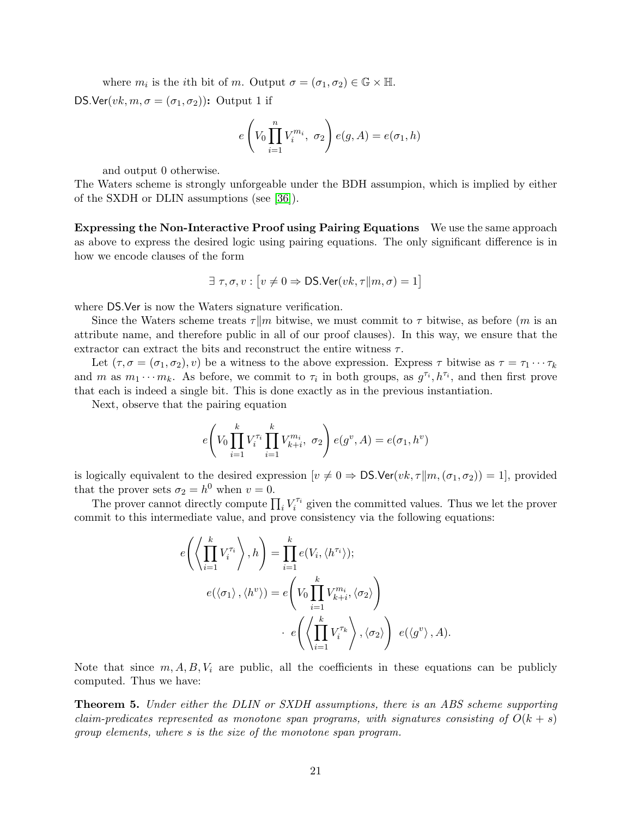where  $m_i$  is the *i*th bit of m. Output  $\sigma = (\sigma_1, \sigma_2) \in \mathbb{G} \times \mathbb{H}$ .

DS.Ver(vk,  $m, \sigma = (\sigma_1, \sigma_2)$ ): Output 1 if

$$
e\left(V_0\prod_{i=1}^n V_i^{m_i}, \sigma_2\right)e(g,A)=e(\sigma_1,h)
$$

and output 0 otherwise.

The Waters scheme is strongly unforgeable under the BDH assumpion, which is implied by either of the SXDH or DLIN assumptions (see [\[36\]](#page-15-3)).

Expressing the Non-Interactive Proof using Pairing Equations We use the same approach as above to express the desired logic using pairing equations. The only significant difference is in how we encode clauses of the form

$$
\exists \tau, \sigma, v : [v \neq 0 \Rightarrow \text{DS.Ver}(vk, \tau || m, \sigma) = 1]
$$

where DS. Ver is now the Waters signature verification.

Since the Waters scheme treats  $\tau|m$  bitwise, we must commit to  $\tau$  bitwise, as before (m is an attribute name, and therefore public in all of our proof clauses). In this way, we ensure that the extractor can extract the bits and reconstruct the entire witness  $\tau$ .

Let  $(\tau, \sigma = (\sigma_1, \sigma_2), v)$  be a witness to the above expression. Express  $\tau$  bitwise as  $\tau = \tau_1 \cdots \tau_k$ and m as  $m_1 \cdots m_k$ . As before, we commit to  $\tau_i$  in both groups, as  $g^{\tau_i}, h^{\tau_i}$ , and then first prove that each is indeed a single bit. This is done exactly as in the previous instantiation.

Next, observe that the pairing equation

$$
e\left(V_0 \prod_{i=1}^k V_i^{\tau_i} \prod_{i=1}^k V_{k+i}^{m_i}, \sigma_2\right) e(g^v, A) = e(\sigma_1, h^v)
$$

is logically equivalent to the desired expression  $[v \neq 0 \Rightarrow DS.Ver(vk, \tau || m, (\sigma_1, \sigma_2)) = 1]$ , provided that the prover sets  $\sigma_2 = h^0$  when  $v = 0$ .

The prover cannot directly compute  $\prod_i V_i^{\tau_i}$  given the committed values. Thus we let the prover commit to this intermediate value, and prove consistency via the following equations:

$$
e\left(\left\langle \prod_{i=1}^k V_i^{\tau_i} \right\rangle, h\right) = \prod_{i=1}^k e(V_i, \langle h^{\tau_i} \rangle);
$$
  

$$
e(\langle \sigma_1 \rangle, \langle h^v \rangle) = e\left(V_0 \prod_{i=1}^k V_{k+i}^{m_i}, \langle \sigma_2 \rangle\right)
$$
  

$$
\cdot e\left(\left\langle \prod_{i=1}^k V_i^{\tau_k} \right\rangle, \langle \sigma_2 \rangle\right) e(\langle g^v \rangle, A).
$$

Note that since  $m, A, B, V_i$  are public, all the coefficients in these equations can be publicly computed. Thus we have:

Theorem 5. Under either the DLIN or SXDH assumptions, there is an ABS scheme supporting claim-predicates represented as monotone span programs, with signatures consisting of  $O(k + s)$ group elements, where s is the size of the monotone span program.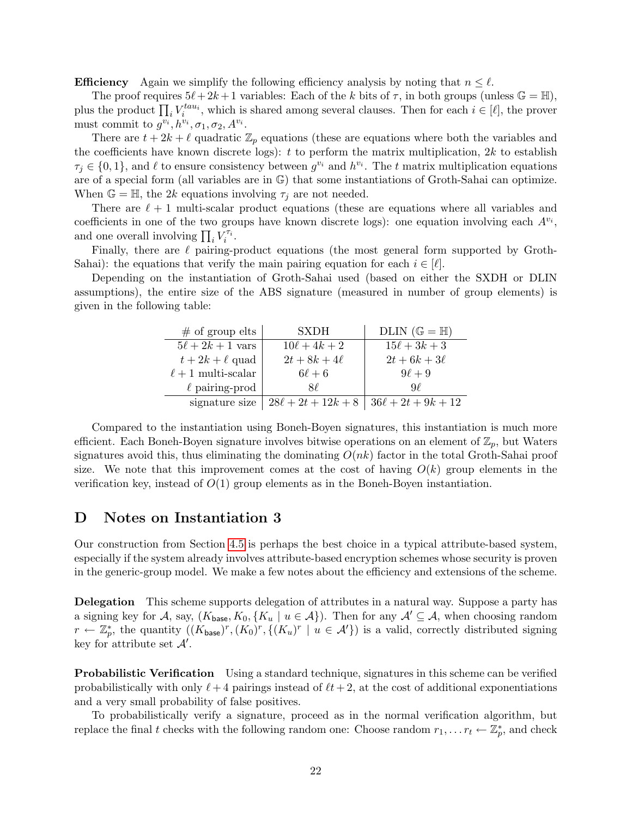**Efficiency** Again we simplify the following efficiency analysis by noting that  $n \leq \ell$ .

The proof requires  $5\ell + 2k + 1$  variables: Each of the k bits of  $\tau$ , in both groups (unless  $\mathbb{G} = \mathbb{H}$ ), plus the product  $\prod_i V_i^{tau_i}$ , which is shared among several clauses. Then for each  $i \in [\ell]$ , the prover must commit to  $g^{v_i}, h^{v_i}, \sigma_1, \sigma_2, A^{v_i}$ .

There are  $t + 2k + \ell$  quadratic  $\mathbb{Z}_p$  equations (these are equations where both the variables and the coefficients have known discrete logs): t to perform the matrix multiplication,  $2k$  to establish  $\tau_j \in \{0, 1\}$ , and  $\ell$  to ensure consistency between  $g^{v_i}$  and  $h^{v_i}$ . The t matrix multiplication equations are of a special form (all variables are in G) that some instantiations of Groth-Sahai can optimize. When  $\mathbb{G} = \mathbb{H}$ , the 2k equations involving  $\tau_i$  are not needed.

There are  $\ell + 1$  multi-scalar product equations (these are equations where all variables and coefficients in one of the two groups have known discrete logs): one equation involving each  $A^{v_i}$ , and one overall involving  $\prod_i V_i^{\tau_i}$ .

Finally, there are  $\ell$  pairing-product equations (the most general form supported by Groth-Sahai): the equations that verify the main pairing equation for each  $i \in [\ell]$ .

Depending on the instantiation of Groth-Sahai used (based on either the SXDH or DLIN assumptions), the entire size of the ABS signature (measured in number of group elements) is given in the following table:

| $#$ of group elts     | <b>SXDH</b>             | DLIN $(\mathbb{G} = \mathbb{H})$ |
|-----------------------|-------------------------|----------------------------------|
| $5\ell + 2k + 1$ vars | $10\ell + 4k + 2$       | $15\ell + 3k + 3$                |
| $t+2k+\ell$ quad      | $2t + 8k + 4\ell$       | $2t+6k+3\ell$                    |
| $\ell+1$ multi-scalar | $6\ell + 6$             | $9\ell + 9$                      |
| $\ell$ pairing-prod   | 8l                      | $9\ell$                          |
| signature size        | $28\ell + 2t + 12k + 8$ | $36\ell + 2t + 9k + 12$          |

Compared to the instantiation using Boneh-Boyen signatures, this instantiation is much more efficient. Each Boneh-Boyen signature involves bitwise operations on an element of  $\mathbb{Z}_p$ , but Waters signatures avoid this, thus eliminating the dominating  $O(nk)$  factor in the total Groth-Sahai proof size. We note that this improvement comes at the cost of having  $O(k)$  group elements in the verification key, instead of  $O(1)$  group elements as in the Boneh-Boyen instantiation.

## <span id="page-21-0"></span>D Notes on Instantiation 3

Our construction from Section [4.5](#page-10-1) is perhaps the best choice in a typical attribute-based system, especially if the system already involves attribute-based encryption schemes whose security is proven in the generic-group model. We make a few notes about the efficiency and extensions of the scheme.

Delegation This scheme supports delegation of attributes in a natural way. Suppose a party has a signing key for A, say,  $(K_{\text{base}}, K_0, \{K_u \mid u \in A\})$ . Then for any  $\mathcal{A}' \subseteq \mathcal{A}$ , when choosing random  $r \leftarrow \mathbb{Z}_p^*$ , the quantity  $((K_{\text{base}})^r, (K_0)^r, \{(K_u)^r \mid u \in \mathcal{A}'\})$  is a valid, correctly distributed signing key for attribute set  $\mathcal{A}'$ .

Probabilistic Verification Using a standard technique, signatures in this scheme can be verified probabilistically with only  $\ell + 4$  pairings instead of  $\ell t + 2$ , at the cost of additional exponentiations and a very small probability of false positives.

To probabilistically verify a signature, proceed as in the normal verification algorithm, but replace the final t checks with the following random one: Choose random  $r_1, \ldots r_t \leftarrow \mathbb{Z}_p^*$ , and check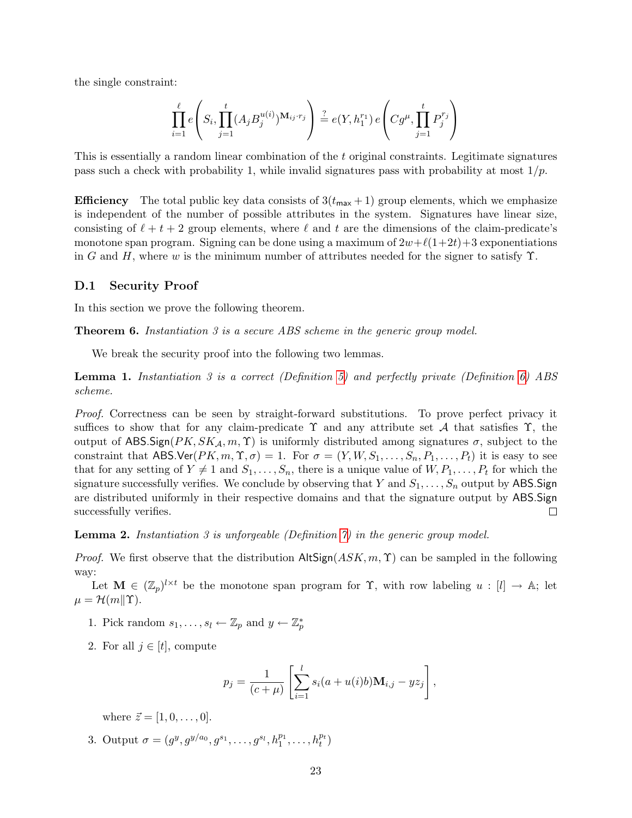the single constraint:

$$
\prod_{i=1}^{\ell} e\left(S_i, \prod_{j=1}^{t} (A_j B_j^{u(i)})^{\mathbf{M}_{ij} \cdot r_j}\right) \stackrel{?}{=} e(Y, h_1^{r_1}) e\left(C g^{\mu}, \prod_{j=1}^{t} P_j^{r_j}\right)
$$

This is essentially a random linear combination of the t original constraints. Legitimate signatures pass such a check with probability 1, while invalid signatures pass with probability at most  $1/p$ .

**Efficiency** The total public key data consists of  $3(t_{\text{max}} + 1)$  group elements, which we emphasize is independent of the number of possible attributes in the system. Signatures have linear size, consisting of  $\ell + t + 2$  group elements, where  $\ell$  and t are the dimensions of the claim-predicate's monotone span program. Signing can be done using a maximum of  $2w+\ell(1+2t)+3$  exponentiations in G and H, where w is the minimum number of attributes needed for the signer to satisfy  $\Upsilon$ .

### <span id="page-22-0"></span>D.1 Security Proof

In this section we prove the following theorem.

**Theorem 6.** Instantiation 3 is a secure ABS scheme in the generic group model.

We break the security proof into the following two lemmas.

**Lemma 1.** Instantiation 3 is a correct (Definition [5\)](#page-5-1) and perfectly private (Definition [6\)](#page-5-2) ABS scheme.

Proof. Correctness can be seen by straight-forward substitutions. To prove perfect privacy it suffices to show that for any claim-predicate  $\Upsilon$  and any attribute set A that satisfies  $\Upsilon$ , the output of ABS.Sign( $PK, SK_A, m, \Upsilon$ ) is uniformly distributed among signatures  $\sigma$ , subject to the constraint that ABS.Ver $(PK, m, \Upsilon, \sigma) = 1$ . For  $\sigma = (Y, W, S_1, \ldots, S_n, P_1, \ldots, P_t)$  it is easy to see that for any setting of  $Y \neq 1$  and  $S_1, \ldots, S_n$ , there is a unique value of  $W, P_1, \ldots, P_t$  for which the signature successfully verifies. We conclude by observing that Y and  $S_1, \ldots, S_n$  output by ABS. Sign are distributed uniformly in their respective domains and that the signature output by ABS.Sign successfully verifies.  $\Box$ 

**Lemma 2.** Instantiation  $3$  is unforgeable (Definition  $7$ ) in the generic group model.

*Proof.* We first observe that the distribution  $\mathsf{AltSign}(ASK, m, \Upsilon)$  can be sampled in the following way:

Let  $\mathbf{M} \in (\mathbb{Z}_p)^{l \times t}$  be the monotone span program for  $\Upsilon$ , with row labeling  $u : [l] \to \mathbb{A}$ ; let  $\mu = \mathcal{H}(m||\Upsilon).$ 

- 1. Pick random  $s_1, \ldots, s_l \leftarrow \mathbb{Z}_p$  and  $y \leftarrow \mathbb{Z}_p^*$
- 2. For all  $j \in [t]$ , compute

$$
p_j = \frac{1}{(c+\mu)} \left[ \sum_{i=1}^l s_i (a + u(i)b) \mathbf{M}_{i,j} - yz_j \right],
$$

where  $\vec{z} = [1, 0, \ldots, 0].$ 

3. Output  $\sigma = (g^y, g^{y/a_0}, g^{s_1}, \dots, g^{s_l}, h_1^{p_1}, \dots, h_t^{p_t})$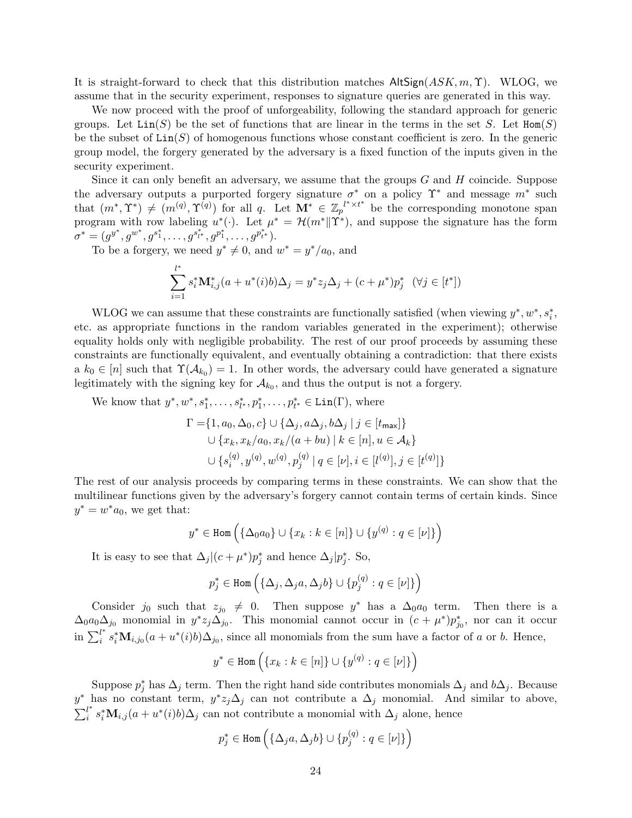It is straight-forward to check that this distribution matches  $\mathsf{AltSign}(ASK, m, \Upsilon)$ . WLOG, we assume that in the security experiment, responses to signature queries are generated in this way.

We now proceed with the proof of unforgeability, following the standard approach for generic groups. Let  $\text{Lin}(S)$  be the set of functions that are linear in the terms in the set S. Let  $\text{Hom}(S)$ be the subset of  $\text{Lin}(S)$  of homogenous functions whose constant coefficient is zero. In the generic group model, the forgery generated by the adversary is a fixed function of the inputs given in the security experiment.

Since it can only benefit an adversary, we assume that the groups  $G$  and  $H$  coincide. Suppose the adversary outputs a purported forgery signature  $\sigma^*$  on a policy  $\Upsilon^*$  and message  $m^*$  such that  $(m^*, \Upsilon^*) \neq (m^{(q)}, \Upsilon^{(q)})$  for all q. Let  $\mathbf{M}^* \in \mathbb{Z}_p^{l^* \times t^*}$  be the corresponding monotone span program with row labeling  $u^*(\cdot)$ . Let  $\mu^* = \mathcal{H}(m^*|| \Upsilon^*)$ , and suppose the signature has the form  $\sigma^* = (g^{y^*}, g^{w^*}, g^{s^*_1}, \ldots, g^{s^{*}_{{l^*}}}, g^{p^*_1}, \ldots, g^{p^*_{{l^*}}}).$ 

To be a forgery, we need  $y^* \neq 0$ , and  $w^* = y^*/a_0$ , and

$$
\sum_{i=1}^{l^*} s_i^* \mathbf{M}_{i,j}^*(a + u^*(i)b)\Delta_j = y^* z_j \Delta_j + (c + \mu^*)p_j^* \quad (\forall j \in [t^*])
$$

WLOG we can assume that these constraints are functionally satisfied (when viewing  $y^*, w^*, s_i^*,$ etc. as appropriate functions in the random variables generated in the experiment); otherwise equality holds only with negligible probability. The rest of our proof proceeds by assuming these constraints are functionally equivalent, and eventually obtaining a contradiction: that there exists  $a k_0 \in [n]$  such that  $\Upsilon(\mathcal{A}_{k_0}) = 1$ . In other words, the adversary could have generated a signature legitimately with the signing key for  $A_{k_0}$ , and thus the output is not a forgery.

We know that  $y^*, w^*, s_1^*, \ldots, s_{l^*}^*, p_1^*, \ldots, p_{t^*}^* \in \text{Lin}(\Gamma)$ , where

$$
\Gamma = \{1, a_0, \Delta_0, c\} \cup \{\Delta_j, a\Delta_j, b\Delta_j \mid j \in [t_{\text{max}}]\}
$$
  

$$
\cup \{x_k, x_k/a_0, x_k/(a+bu) \mid k \in [n], u \in \mathcal{A}_k\}
$$
  

$$
\cup \{s_i^{(q)}, y^{(q)}, w^{(q)}, p_j^{(q)} \mid q \in [\nu], i \in [l^{(q)}], j \in [t^{(q)}]\}
$$

The rest of our analysis proceeds by comparing terms in these constraints. We can show that the multilinear functions given by the adversary's forgery cannot contain terms of certain kinds. Since  $y^* = w^* a_0$ , we get that:

$$
y^* \in \operatorname{Hom}\left(\{\Delta_0a_0\}\cup\{x_k:k\in[n]\}\cup\{y^{(q)}:q\in[\nu]\}\right)
$$

It is easy to see that  $\Delta_j|(c+\mu^*)p_j^*$  and hence  $\Delta_j|p_j^*$ . So,

$$
p^*_j\in \operatorname{Hom}\left(\{\Delta_j, \Delta_j a, \Delta_j b\}\cup \{p^{(q)}_j: q\in [\nu]\}\right)
$$

Consider  $j_0$  such that  $z_{j0} \neq 0$ . Then suppose  $y^*$  has a  $\Delta_0 a_0$  term. Then there is a  $\Delta_0 a_0 \Delta_{j_0}$  monomial in  $y^* z_j \Delta_{j_0}$ . This monomial cannot occur in  $(c + \mu^*) p_{j_0}^*$ , nor can it occur in  $\sum_{i}^{l^*}$  $i^* s_i^* \mathbf{M}_{i,j_0}(a+u^*(i)b) \Delta_{j_0}$ , since all monomials from the sum have a factor of a or b. Hence,

$$
y^* \in \text{Hom}\left(\{x_k : k \in [n]\} \cup \{y^{(q)} : q \in [\nu]\}\right)
$$

Suppose  $p_j^*$  has  $\Delta_j$  term. Then the right hand side contributes monomials  $\Delta_j$  and  $b\Delta_j$ . Because y<sup>\*</sup> has no constant term,  $y^*z_j\Delta_j$  can not contribute a  $\Delta_j$  monomial. And similar to above,  $\sum_{i}^{l^*}$  $i^* s_i^* \mathbf{M}_{i,j} (a + u^*(i)b) \Delta_j$  can not contribute a monomial with  $\Delta_j$  alone, hence

$$
p_j^* \in \text{Hom}\left(\{\Delta_j a, \Delta_j b\} \cup \{p_j^{(q)} : q \in [\nu]\}\right)
$$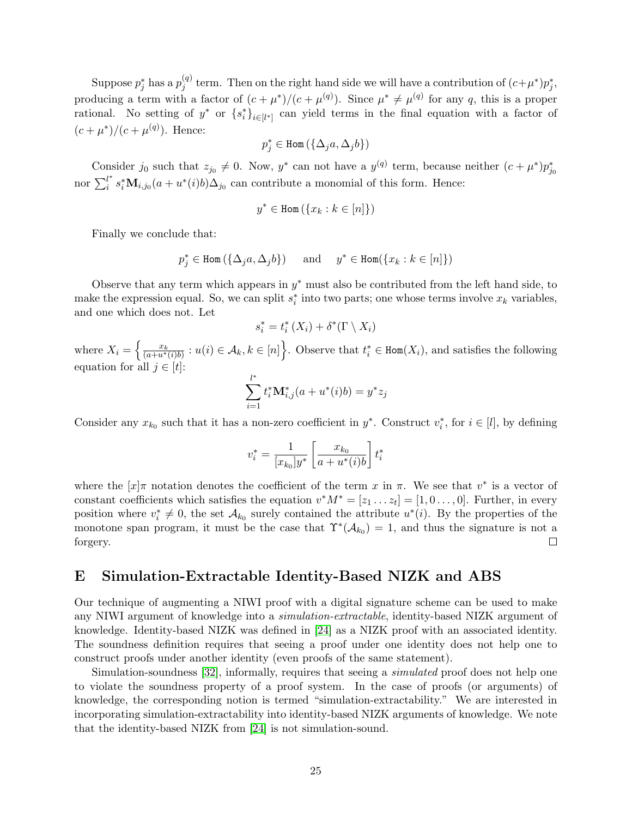Suppose  $p_j^*$  has a  $p_j^{(q)}$  $j^{(q)}$  term. Then on the right hand side we will have a contribution of  $(c+\mu^*)p_j^*$ , producing a term with a factor of  $(c + \mu^*)/(c + \mu^{(q)})$ . Since  $\mu^* \neq \mu^{(q)}$  for any q, this is a proper rational. No setting of  $y^*$  or  $\{s_i^*\}_{i\in[l^*]}$  can yield terms in the final equation with a factor of  $(c + \mu^*)/(c + \mu^{(q)})$ . Hence:

$$
p_j^* \in \text{Hom}\left(\{\Delta_j a, \Delta_j b\}\right)
$$

Consider  $j_0$  such that  $z_{j_0} \neq 0$ . Now,  $y^*$  can not have a  $y^{(q)}$  term, because neither  $(c + \mu^*)p_{j_0}^*$ nor  $\sum_{i}^{l^*}$  $i^* s_i^* \mathbf{M}_{i,j_0}(a + u^*(i)b) \Delta_{j_0}$  can contribute a monomial of this form. Hence:

$$
y^* \in \text{Hom}\left(\{x_k : k \in [n]\}\right)
$$

Finally we conclude that:

$$
p_j^* \in \text{Hom}(\{\Delta_j a, \Delta_j b\}) \quad \text{and} \quad y^* \in \text{Hom}(\{x_k : k \in [n]\})
$$

Observe that any term which appears in  $y^*$  must also be contributed from the left hand side, to make the expression equal. So, we can split  $s_i^*$  into two parts; one whose terms involve  $x_k$  variables, and one which does not. Let

$$
s_i^* = t_i^* (X_i) + \delta^* (\Gamma \setminus X_i)
$$

where  $X_i = \left\{\frac{x_k}{(a+u^*(i)b)} : u(i) \in \mathcal{A}_k, k \in [n]\right\}$ . Observe that  $t_i^* \in \text{Hom}(X_i)$ , and satisfies the following equation for all  $j \in [t]$ :

$$
\sum_{i=1}^{l^*} t_i^* \mathbf{M}_{i,j}^*(a+u^*(i)b) = y^* z_j
$$

Consider any  $x_{k_0}$  such that it has a non-zero coefficient in  $y^*$ . Construct  $v_i^*$ , for  $i \in [l]$ , by defining

$$
v_i^* = \frac{1}{[x_{k_0}]y^*} \left[ \frac{x_{k_0}}{a + u^*(i)b} \right] t_i^*
$$

where the  $[x]\pi$  notation denotes the coefficient of the term x in  $\pi$ . We see that  $v^*$  is a vector of constant coefficients which satisfies the equation  $v^*M^* = [z_1 \dots z_t] = [1, 0 \dots, 0]$ . Further, in every position where  $v_i^* \neq 0$ , the set  $\mathcal{A}_{k_0}$  surely contained the attribute  $u^*(i)$ . By the properties of the monotone span program, it must be the case that  $\Upsilon^*(\mathcal{A}_{k_0}) = 1$ , and thus the signature is not a forgery.  $\Box$ 

## <span id="page-24-0"></span>E Simulation-Extractable Identity-Based NIZK and ABS

Our technique of augmenting a NIWI proof with a digital signature scheme can be used to make any NIWI argument of knowledge into a simulation-extractable, identity-based NIZK argument of knowledge. Identity-based NIZK was defined in [\[24\]](#page-14-7) as a NIZK proof with an associated identity. The soundness definition requires that seeing a proof under one identity does not help one to construct proofs under another identity (even proofs of the same statement).

<span id="page-24-1"></span>Simulation-soundness [\[32\]](#page-15-13), informally, requires that seeing a simulated proof does not help one to violate the soundness property of a proof system. In the case of proofs (or arguments) of knowledge, the corresponding notion is termed "simulation-extractability." We are interested in incorporating simulation-extractability into identity-based NIZK arguments of knowledge. We note that the identity-based NIZK from [\[24\]](#page-14-7) is not simulation-sound.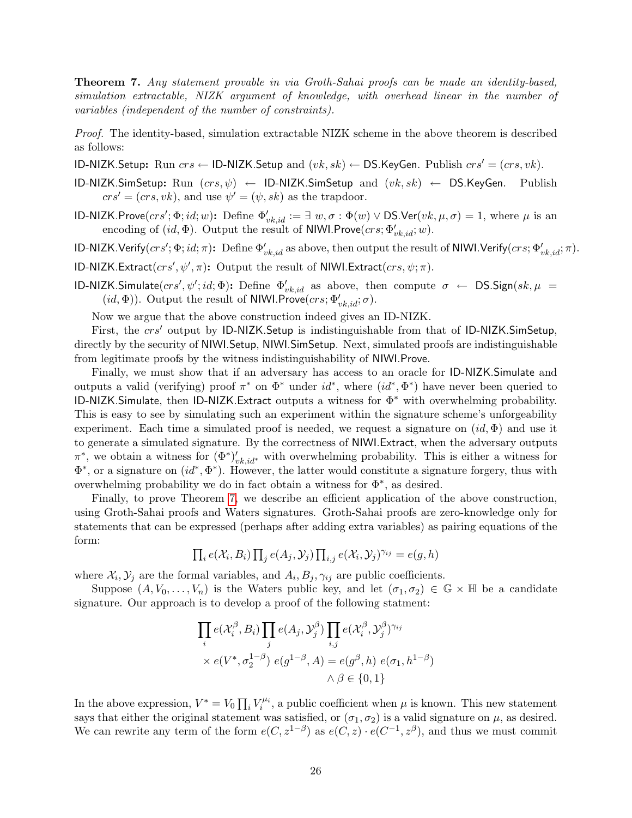Theorem 7. Any statement provable in via Groth-Sahai proofs can be made an identity-based, simulation extractable, NIZK argument of knowledge, with overhead linear in the number of variables (independent of the number of constraints).

Proof. The identity-based, simulation extractable NIZK scheme in the above theorem is described as follows:

- ID-NIZK.Setup: Run  $crs \leftarrow$  ID-NIZK.Setup and  $(vk, sk) \leftarrow$  DS.KeyGen. Publish  $crs' = (crs, vk)$ .
- ID-NIZK.SimSetup: Run  $(crs, \psi)$  ← ID-NIZK.SimSetup and  $(vk, sk)$  ← DS.KeyGen. Publish  $crs' = (crs, vk)$ , and use  $\psi' = (\psi, sk)$  as the trapdoor.
- ID-NIZK.Prove $(crs'; \Phi; id; w)$ : Define  $\Phi'_{vk,id} := \exists w, \sigma : \Phi(w) \vee \text{DS.Ver}(vk, \mu, \sigma) = 1$ , where  $\mu$  is an encoding of  $(id, \Phi)$ . Output the result of NIWI.Prove $(crs; \Phi'_{vk, id}; w)$ .
- ID-NIZK.Verify $(crs'; \Phi; id; \pi)$ : Define  $\Phi'_{vk,id}$  as above, then output the result of NIWI.Verify $(crs; \Phi'_{vk,id}; \pi)$ .
- ID-NIZK.Extract $(crs', \psi', \pi)$ : Output the result of NIWI.Extract $(crs, \psi; \pi)$ .
- ID-NIZK.Simulate $(crs', \psi'; id; \Phi)$ : Define  $\Phi'_{vk,id}$  as above, then compute  $\sigma$   $\leftarrow$  DS.Sign $(sk, \mu$  =  $(id, \Phi)$ ). Output the result of NIWI.Prove $pers; \Phi'_{vk, id}; \sigma)$ .

Now we argue that the above construction indeed gives an ID-NIZK.

First, the  $crs'$  output by ID-NIZK. Setup is indistinguishable from that of ID-NIZK. SimSetup, directly by the security of NIWI.Setup, NIWI.SimSetup. Next, simulated proofs are indistinguishable from legitimate proofs by the witness indistinguishability of NIWI.Prove.

Finally, we must show that if an adversary has access to an oracle for ID-NIZK.Simulate and outputs a valid (verifying) proof  $\pi^*$  on  $\Phi^*$  under  $id^*$ , where  $(id^*, \Phi^*)$  have never been queried to ID-NIZK.Simulate, then ID-NIZK.Extract outputs a witness for Φ<sup>∗</sup> with overwhelming probability. This is easy to see by simulating such an experiment within the signature scheme's unforgeability experiment. Each time a simulated proof is needed, we request a signature on  $(id, \Phi)$  and use it to generate a simulated signature. By the correctness of NIWI.Extract, when the adversary outputs  $\pi^*$ , we obtain a witness for  $(\Phi^*)'_{vk,id^*}$  with overwhelming probability. This is either a witness for  $\Phi^*$ , or a signature on  $(id^*, \Phi^*)$ . However, the latter would constitute a signature forgery, thus with overwhelming probability we do in fact obtain a witness for  $\Phi^*$ , as desired.

Finally, to prove Theorem [7,](#page-24-1) we describe an efficient application of the above construction, using Groth-Sahai proofs and Waters signatures. Groth-Sahai proofs are zero-knowledge only for statements that can be expressed (perhaps after adding extra variables) as pairing equations of the form:

$$
\prod_i e(\mathcal{X}_i, B_i) \prod_j e(A_j, \mathcal{Y}_j) \prod_{i,j} e(\mathcal{X}_i, \mathcal{Y}_j)^{\gamma_{ij}} = e(g, h)
$$

where  $\mathcal{X}_i, \mathcal{Y}_j$  are the formal variables, and  $A_i, B_j, \gamma_{ij}$  are public coefficients.

Suppose  $(A, V_0, \ldots, V_n)$  is the Waters public key, and let  $(\sigma_1, \sigma_2) \in \mathbb{G} \times \mathbb{H}$  be a candidate signature. Our approach is to develop a proof of the following statment:

$$
\prod_{i} e(\mathcal{X}_i^{\beta}, B_i) \prod_{j} e(A_j, \mathcal{Y}_j^{\beta}) \prod_{i,j} e(\mathcal{X}_i^{\beta}, \mathcal{Y}_j^{\beta})^{\gamma_{ij}}
$$
  
×  $e(V^*, \sigma_2^{1-\beta}) e(g^{1-\beta}, A) = e(g^{\beta}, h) e(\sigma_1, h^{1-\beta})$   
∧  $\beta \in \{0, 1\}$ 

In the above expression,  $V^* = V_0 \prod_i V_i^{\mu_i}$ , a public coefficient when  $\mu$  is known. This new statement says that either the original statement was satisfied, or  $(\sigma_1, \sigma_2)$  is a valid signature on  $\mu$ , as desired. We can rewrite any term of the form  $e(C, z^{1-\beta})$  as  $e(C, z) \cdot e(C^{-1}, z^{\beta})$ , and thus we must commit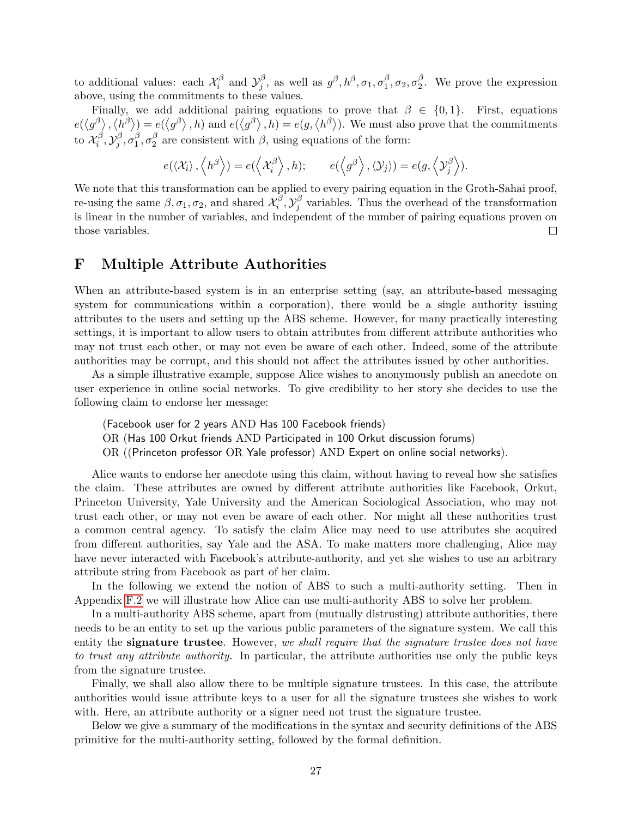to additional values: each  $\mathcal{X}_i^{\beta}$  $v_j^{\beta}$  and  $\mathcal{Y}_j^{\beta}$  $j^{\beta}$ , as well as  $g^{\beta}, h^{\beta}, \sigma_1, \sigma_1^{\beta}$  $_{1}^{\beta},\sigma_{2},\sigma_{2}^{\beta}$  $2^{\circ}$ . We prove the expression above, using the commitments to these values.

Finally, we add additional pairing equations to prove that  $\beta \in \{0,1\}$ . First, equations  $e(\langle g^{\beta} \rangle, \langle h^{\beta} \rangle) = e(\langle g^{\beta} \rangle, h)$  and  $e(\langle g^{\beta} \rangle, h) = e(g, \langle h^{\beta} \rangle)$ . We must also prove that the commitments to  $\mathcal{X}_i^{\beta}$  $\eta^{\beta}, \mathcal{Y}^{\beta}_j$  $_{j}^{\beta },\sigma _{1}^{\beta }$  $_{1}^{\beta},\sigma_{2}^{\beta}$  $2^{\beta}$  are consistent with  $\beta$ , using equations of the form:

$$
e(\langle \mathcal{X}_i \rangle, \langle h^\beta \rangle) = e(\langle \mathcal{X}_i^\beta \rangle, h); \qquad e(\langle g^\beta \rangle, \langle \mathcal{Y}_j \rangle) = e(g, \langle \mathcal{Y}_j^\beta \rangle).
$$

We note that this transformation can be applied to every pairing equation in the Groth-Sahai proof, re-using the same  $\beta, \sigma_1, \sigma_2$ , and shared  $\mathcal{X}_i^{\beta}$  $\bar{\mathbf{y}}_i^{\beta}, \mathcal{Y}_j^{\beta}$  $j_j^{\beta}$  variables. Thus the overhead of the transformation is linear in the number of variables, and independent of the number of pairing equations proven on those variables. П

## F Multiple Attribute Authorities

When an attribute-based system is in an enterprise setting (say, an attribute-based messaging system for communications within a corporation), there would be a single authority issuing attributes to the users and setting up the ABS scheme. However, for many practically interesting settings, it is important to allow users to obtain attributes from different attribute authorities who may not trust each other, or may not even be aware of each other. Indeed, some of the attribute authorities may be corrupt, and this should not affect the attributes issued by other authorities.

As a simple illustrative example, suppose Alice wishes to anonymously publish an anecdote on user experience in online social networks. To give credibility to her story she decides to use the following claim to endorse her message:

(Facebook user for 2 years AND Has 100 Facebook friends)

- OR (Has 100 Orkut friends AND Participated in 100 Orkut discussion forums)
- OR ((Princeton professor OR Yale professor) AND Expert on online social networks).

Alice wants to endorse her anecdote using this claim, without having to reveal how she satisfies the claim. These attributes are owned by different attribute authorities like Facebook, Orkut, Princeton University, Yale University and the American Sociological Association, who may not trust each other, or may not even be aware of each other. Nor might all these authorities trust a common central agency. To satisfy the claim Alice may need to use attributes she acquired from different authorities, say Yale and the ASA. To make matters more challenging, Alice may have never interacted with Facebook's attribute-authority, and yet she wishes to use an arbitrary attribute string from Facebook as part of her claim.

In the following we extend the notion of ABS to such a multi-authority setting. Then in Appendix [F.2](#page-29-0) we will illustrate how Alice can use multi-authority ABS to solve her problem.

In a multi-authority ABS scheme, apart from (mutually distrusting) attribute authorities, there needs to be an entity to set up the various public parameters of the signature system. We call this entity the signature trustee. However, we shall require that the signature trustee does not have to trust any attribute authority. In particular, the attribute authorities use only the public keys from the signature trustee.

Finally, we shall also allow there to be multiple signature trustees. In this case, the attribute authorities would issue attribute keys to a user for all the signature trustees she wishes to work with. Here, an attribute authority or a signer need not trust the signature trustee.

Below we give a summary of the modifications in the syntax and security definitions of the ABS primitive for the multi-authority setting, followed by the formal definition.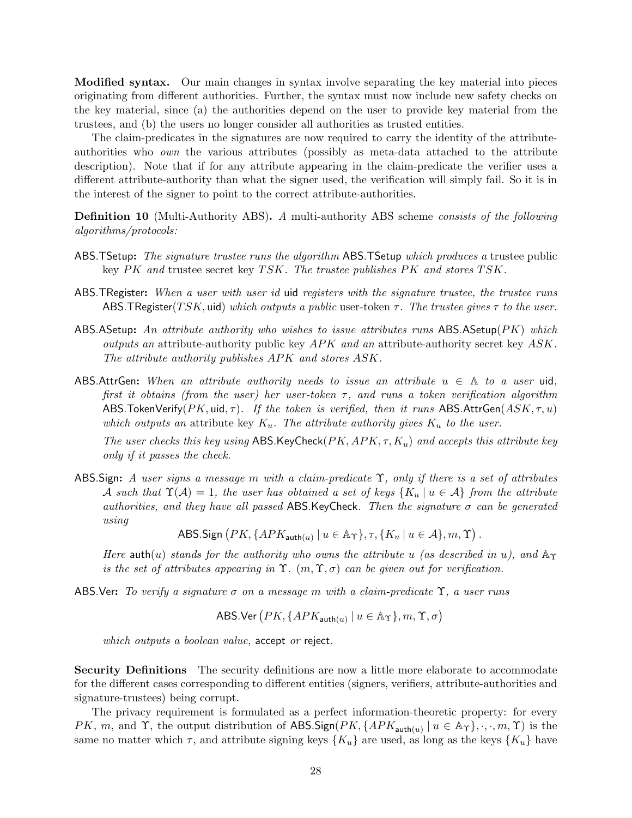Modified syntax. Our main changes in syntax involve separating the key material into pieces originating from different authorities. Further, the syntax must now include new safety checks on the key material, since (a) the authorities depend on the user to provide key material from the trustees, and (b) the users no longer consider all authorities as trusted entities.

The claim-predicates in the signatures are now required to carry the identity of the attributeauthorities who own the various attributes (possibly as meta-data attached to the attribute description). Note that if for any attribute appearing in the claim-predicate the verifier uses a different attribute-authority than what the signer used, the verification will simply fail. So it is in the interest of the signer to point to the correct attribute-authorities.

Definition 10 (Multi-Authority ABS). A multi-authority ABS scheme consists of the following algorithms/protocols:

- ABS. TSetup: The signature trustee runs the algorithm ABS. TSetup which produces a trustee public key  $PK$  and trustee secret key TSK. The trustee publishes  $PK$  and stores TSK.
- ABS.TRegister: When a user with user id uid registers with the signature trustee, the trustee runs ABS.TRegister(TSK, uid) which outputs a public user-token  $\tau$ . The trustee gives  $\tau$  to the user.
- ABS.ASetup: An attribute authority who wishes to issue attributes runs ABS.ASetup( $PK$ ) which *outputs an* attribute-authority public key  $APK$  and an attribute-authority secret key  $ASK$ . The attribute authority publishes APK and stores ASK.
- ABS. AttrGen: When an attribute authority needs to issue an attribute  $u \in A$  to a user uid, first it obtains (from the user) her user-token  $\tau$ , and runs a token verification algorithm ABS. TokenVerify( $PK$ , uid,  $\tau$ ). If the token is verified, then it runs ABS. AttrGen( $ASK, \tau, u$ ) which outputs an attribute key  $K_u$ . The attribute authority gives  $K_u$  to the user.

The user checks this key using ABS.KeyCheck( $PK$ ,  $APK$ ,  $\tau$ ,  $K_u$ ) and accepts this attribute key only if it passes the check.

ABS. Sign: A user signs a message m with a claim-predicate  $\Upsilon$ , only if there is a set of attributes A such that  $\Upsilon(\mathcal{A}) = 1$ , the user has obtained a set of keys  $\{K_u | u \in \mathcal{A}\}$  from the attribute authorities, and they have all passed ABS.KeyCheck. Then the signature  $\sigma$  can be generated using

ABS.Sign  $(PK, \{APK_{\mathsf{auth}(u)} \mid u \in \mathbb{A}\gamma\}, \tau, \{K_u \mid u \in \mathcal{A}\}, m, \Upsilon)$ .

Here auth $(u)$  stands for the authority who owns the attribute u (as described in u), and  $\mathbb{A}_{\Upsilon}$ is the set of attributes appearing in  $\Upsilon$ .  $(m, \Upsilon, \sigma)$  can be given out for verification.

ABS.Ver: To verify a signature  $\sigma$  on a message m with a claim-predicate  $\Upsilon$ , a user runs

ABS.Ver  $(PK, \{APK_{\mathsf{auth}(u)} \mid u \in \mathbb{A}\gamma\}, m, \Upsilon, \sigma)$ 

which outputs a boolean value, accept or reject.

Security Definitions The security definitions are now a little more elaborate to accommodate for the different cases corresponding to different entities (signers, verifiers, attribute-authorities and signature-trustees) being corrupt.

The privacy requirement is formulated as a perfect information-theoretic property: for every PK, m, and T, the output distribution of ABS.Sign( $PK$ ,  $\{APK_{\mathsf{auth}(u)} \mid u \in \mathbb{A}\Upsilon\}$ , ...,  $m, \Upsilon$ ) is the same no matter which  $\tau$ , and attribute signing keys  $\{K_u\}$  are used, as long as the keys  $\{K_u\}$  have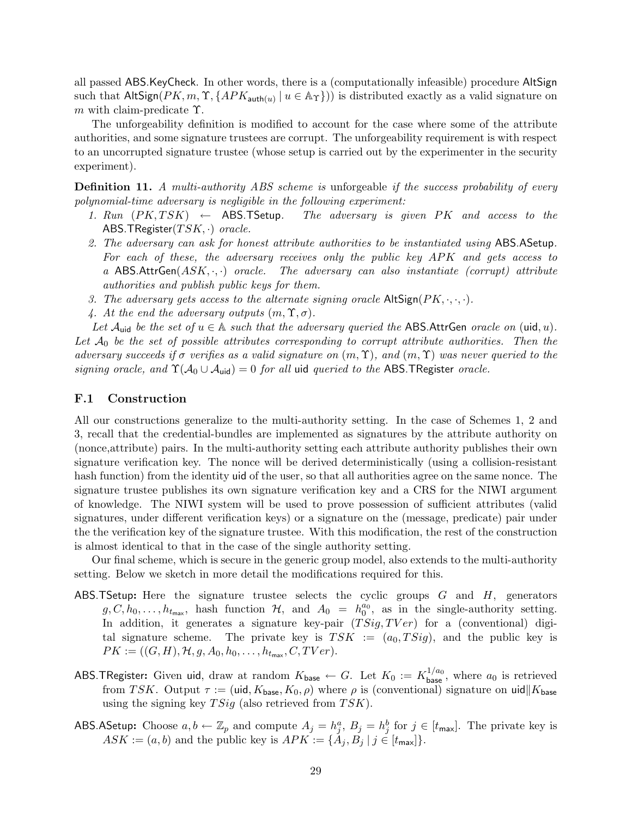all passed ABS.KeyCheck. In other words, there is a (computationally infeasible) procedure AltSign such that  $\textsf{AltSign}(PK, m, \Upsilon, \{APK_{\textsf{auth}(u)} \mid u \in \mathbb{A}\Upsilon\})$  is distributed exactly as a valid signature on m with claim-predicate  $\Upsilon$ .

The unforgeability definition is modified to account for the case where some of the attribute authorities, and some signature trustees are corrupt. The unforgeability requirement is with respect to an uncorrupted signature trustee (whose setup is carried out by the experimenter in the security experiment).

**Definition 11.** A multi-authority ABS scheme is unforgeable if the success probability of every polynomial-time adversary is negligible in the following experiment:

- 1. Run  $(PK, TSK) \leftarrow$  ABS. TSetup. The adversary is given PK and access to the ABS.TRegister( $TSK, \cdot$ ) oracle.
- 2. The adversary can ask for honest attribute authorities to be instantiated using ABS.ASetup. For each of these, the adversary receives only the public key APK and gets access to a ABS.AttrGen $(ASK, \cdot, \cdot)$  oracle. The adversary can also instantiate (corrupt) attribute authorities and publish public keys for them.
- 3. The adversary gets access to the alternate signing oracle  $\mathsf{AltSign}(PK, \cdot, \cdot, \cdot)$ .
- 4. At the end the adversary outputs  $(m, \Upsilon, \sigma)$ .

Let  $A_{\text{uid}}$  be the set of  $u \in A$  such that the adversary queried the ABS. AttrGen oracle on (uid, u). Let  $\mathcal{A}_0$  be the set of possible attributes corresponding to corrupt attribute authorities. Then the adversary succeeds if  $\sigma$  verifies as a valid signature on  $(m, \Upsilon)$ , and  $(m, \Upsilon)$  was never queried to the signing oracle, and  $\Upsilon(\mathcal{A}_0 \cup \mathcal{A}_{\text{uid}}) = 0$  for all uid queried to the ABS. TRegister oracle.

#### F.1 Construction

All our constructions generalize to the multi-authority setting. In the case of Schemes 1, 2 and 3, recall that the credential-bundles are implemented as signatures by the attribute authority on (nonce,attribute) pairs. In the multi-authority setting each attribute authority publishes their own signature verification key. The nonce will be derived deterministically (using a collision-resistant hash function) from the identity uid of the user, so that all authorities agree on the same nonce. The signature trustee publishes its own signature verification key and a CRS for the NIWI argument of knowledge. The NIWI system will be used to prove possession of sufficient attributes (valid signatures, under different verification keys) or a signature on the (message, predicate) pair under the the verification key of the signature trustee. With this modification, the rest of the construction is almost identical to that in the case of the single authority setting.

Our final scheme, which is secure in the generic group model, also extends to the multi-authority setting. Below we sketch in more detail the modifications required for this.

- ABS. TSetup: Here the signature trustee selects the cyclic groups  $G$  and  $H$ , generators  $g, C, h_0, \ldots, h_{t_{\text{max}}}$ , hash function  $H$ , and  $A_0 = h_0^{a_0}$ , as in the single-authority setting. In addition, it generates a signature key-pair  $(TSig, TVer)$  for a (conventional) digital signature scheme. The private key is  $TSK := (a_0, TSiq)$ , and the public key is  $PK := ((G, H), \mathcal{H}, g, A_0, h_0, \ldots, h_{t_{\text{max}}}, C, TVer).$
- ABS.TRegister: Given uid, draw at random  $K_{\text{base}} \leftarrow G$ . Let  $K_0 := K_{\text{base}}^{1/a_0}$ , where  $a_0$  is retrieved from TSK. Output  $\tau := (\text{uid}, K_{\text{base}}, K_0, \rho)$  where  $\rho$  is (conventional) signature on uid  $|K_{\text{base}}|$ using the signing key  $TSig$  (also retrieved from  $TSK$ ).
- ABS.ASetup: Choose  $a, b \leftarrow \mathbb{Z}_p$  and compute  $A_j = h_j^a$ ,  $B_j = h_j^b$  for  $j \in [t_{\text{max}}]$ . The private key is  $ASK := (a, b)$  and the public key is  $APK := \{ \tilde{A}_i, B_i | j \in [t_{\text{max}}] \}.$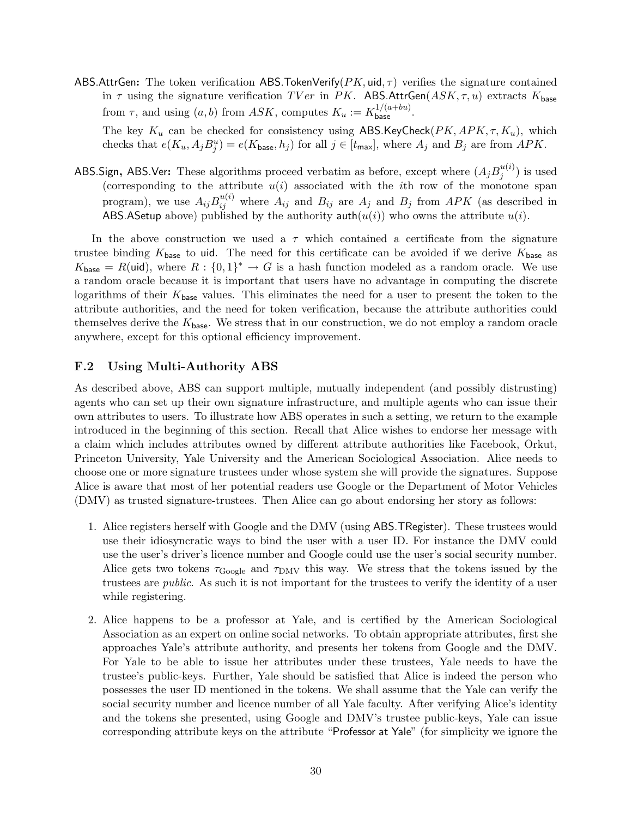ABS.AttrGen: The token verification ABS.TokenVerify( $PK$ , uid,  $\tau$ ) verifies the signature contained in  $\tau$  using the signature verification TVer in PK. ABS.AttrGen( $ASK, \tau, u$ ) extracts K<sub>base</sub> from  $\tau$ , and using  $(a, b)$  from  $ASK$ , computes  $K_u := K_{\text{base}}^{1/(a+bu)}$ .

The key  $K_u$  can be checked for consistency using ABS.KeyCheck( $PK$ ,  $APK$ ,  $\tau$ ,  $K_u$ ), which checks that  $e(K_u, A_j B_j^u) = e(K_{\text{base}}, h_j)$  for all  $j \in [t_{\text{max}}]$ , where  $A_j$  and  $B_j$  are from  $APK$ .

ABS. Sign, ABS. Ver: These algorithms proceed verbatim as before, except where  $(A_j B_j^{u(i)})$  $j^{u(i)}$ ) is used (corresponding to the attribute  $u(i)$  associated with the *i*th row of the monotone span program), we use  $A_{ij}B_{ij}^{u(i)}$  where  $A_{ij}$  and  $B_{ij}$  are  $A_j$  and  $B_j$  from  $APK$  (as described in ABS.ASetup above) published by the authority auth $(u(i))$  who owns the attribute  $u(i)$ .

In the above construction we used a  $\tau$  which contained a certificate from the signature trustee binding  $K_{\text{base}}$  to uid. The need for this certificate can be avoided if we derive  $K_{\text{base}}$  as  $K_{\text{base}} = R(\text{uid})$ , where  $R: \{0,1\}^* \to G$  is a hash function modeled as a random oracle. We use a random oracle because it is important that users have no advantage in computing the discrete logarithms of their  $K_{\text{base}}$  values. This eliminates the need for a user to present the token to the attribute authorities, and the need for token verification, because the attribute authorities could themselves derive the  $K_{\text{base}}$ . We stress that in our construction, we do not employ a random oracle anywhere, except for this optional efficiency improvement.

### <span id="page-29-0"></span>F.2 Using Multi-Authority ABS

As described above, ABS can support multiple, mutually independent (and possibly distrusting) agents who can set up their own signature infrastructure, and multiple agents who can issue their own attributes to users. To illustrate how ABS operates in such a setting, we return to the example introduced in the beginning of this section. Recall that Alice wishes to endorse her message with a claim which includes attributes owned by different attribute authorities like Facebook, Orkut, Princeton University, Yale University and the American Sociological Association. Alice needs to choose one or more signature trustees under whose system she will provide the signatures. Suppose Alice is aware that most of her potential readers use Google or the Department of Motor Vehicles (DMV) as trusted signature-trustees. Then Alice can go about endorsing her story as follows:

- 1. Alice registers herself with Google and the DMV (using ABS.TRegister). These trustees would use their idiosyncratic ways to bind the user with a user ID. For instance the DMV could use the user's driver's licence number and Google could use the user's social security number. Alice gets two tokens  $\tau_{\text{Google}}$  and  $\tau_{\text{DMV}}$  this way. We stress that the tokens issued by the trustees are public. As such it is not important for the trustees to verify the identity of a user while registering.
- 2. Alice happens to be a professor at Yale, and is certified by the American Sociological Association as an expert on online social networks. To obtain appropriate attributes, first she approaches Yale's attribute authority, and presents her tokens from Google and the DMV. For Yale to be able to issue her attributes under these trustees, Yale needs to have the trustee's public-keys. Further, Yale should be satisfied that Alice is indeed the person who possesses the user ID mentioned in the tokens. We shall assume that the Yale can verify the social security number and licence number of all Yale faculty. After verifying Alice's identity and the tokens she presented, using Google and DMV's trustee public-keys, Yale can issue corresponding attribute keys on the attribute "Professor at Yale" (for simplicity we ignore the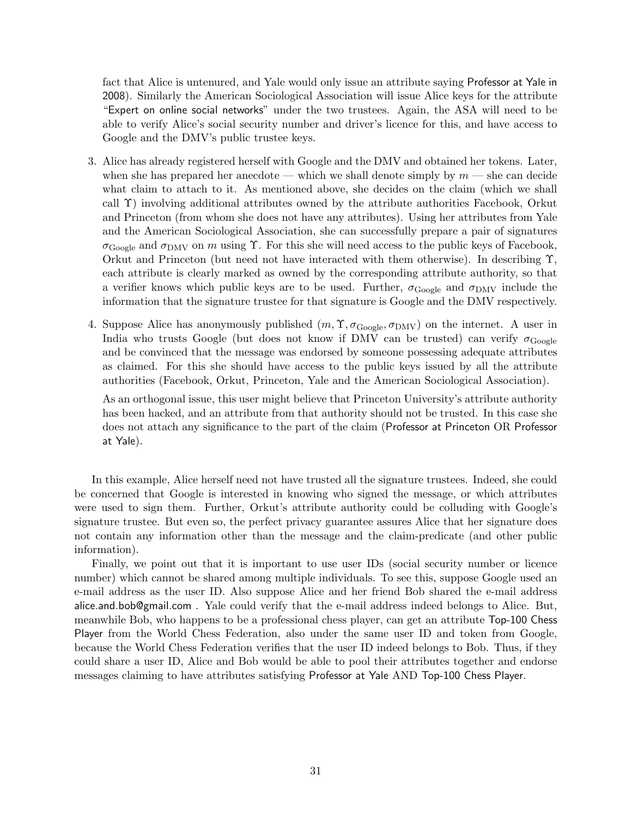fact that Alice is untenured, and Yale would only issue an attribute saying Professor at Yale in 2008). Similarly the American Sociological Association will issue Alice keys for the attribute "Expert on online social networks" under the two trustees. Again, the ASA will need to be able to verify Alice's social security number and driver's licence for this, and have access to Google and the DMV's public trustee keys.

- 3. Alice has already registered herself with Google and the DMV and obtained her tokens. Later, when she has prepared her anecdote — which we shall denote simply by  $m$  — she can decide what claim to attach to it. As mentioned above, she decides on the claim (which we shall call Υ) involving additional attributes owned by the attribute authorities Facebook, Orkut and Princeton (from whom she does not have any attributes). Using her attributes from Yale and the American Sociological Association, she can successfully prepare a pair of signatures  $\sigma_{\text{Google}}$  and  $\sigma_{\text{DMV}}$  on m using  $\Upsilon$ . For this she will need access to the public keys of Facebook, Orkut and Princeton (but need not have interacted with them otherwise). In describing  $\Upsilon$ , each attribute is clearly marked as owned by the corresponding attribute authority, so that a verifier knows which public keys are to be used. Further,  $\sigma_{\text{Google}}$  and  $\sigma_{\text{DMV}}$  include the information that the signature trustee for that signature is Google and the DMV respectively.
- 4. Suppose Alice has anonymously published  $(m, \Upsilon, \sigma_{\text{Google}}, \sigma_{\text{DMV}})$  on the internet. A user in India who trusts Google (but does not know if DMV can be trusted) can verify  $\sigma_{\text{Google}}$ and be convinced that the message was endorsed by someone possessing adequate attributes as claimed. For this she should have access to the public keys issued by all the attribute authorities (Facebook, Orkut, Princeton, Yale and the American Sociological Association).

As an orthogonal issue, this user might believe that Princeton University's attribute authority has been hacked, and an attribute from that authority should not be trusted. In this case she does not attach any significance to the part of the claim (Professor at Princeton OR Professor at Yale).

In this example, Alice herself need not have trusted all the signature trustees. Indeed, she could be concerned that Google is interested in knowing who signed the message, or which attributes were used to sign them. Further, Orkut's attribute authority could be colluding with Google's signature trustee. But even so, the perfect privacy guarantee assures Alice that her signature does not contain any information other than the message and the claim-predicate (and other public information).

Finally, we point out that it is important to use user IDs (social security number or licence number) which cannot be shared among multiple individuals. To see this, suppose Google used an e-mail address as the user ID. Also suppose Alice and her friend Bob shared the e-mail address alice.and.bob@gmail.com . Yale could verify that the e-mail address indeed belongs to Alice. But, meanwhile Bob, who happens to be a professional chess player, can get an attribute Top-100 Chess Player from the World Chess Federation, also under the same user ID and token from Google, because the World Chess Federation verifies that the user ID indeed belongs to Bob. Thus, if they could share a user ID, Alice and Bob would be able to pool their attributes together and endorse messages claiming to have attributes satisfying Professor at Yale AND Top-100 Chess Player.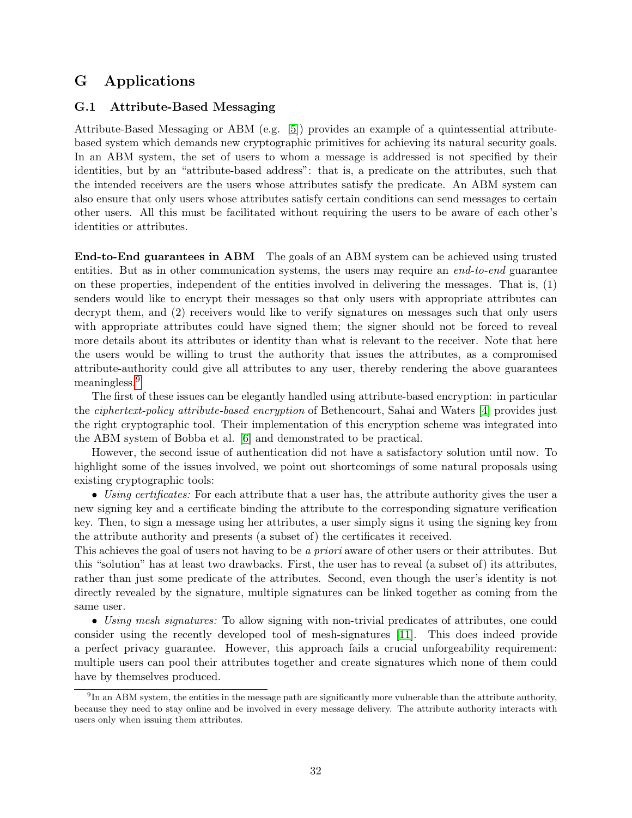# G Applications

### G.1 Attribute-Based Messaging

Attribute-Based Messaging or ABM (e.g. [\[5\]](#page-13-3)) provides an example of a quintessential attributebased system which demands new cryptographic primitives for achieving its natural security goals. In an ABM system, the set of users to whom a message is addressed is not specified by their identities, but by an "attribute-based address": that is, a predicate on the attributes, such that the intended receivers are the users whose attributes satisfy the predicate. An ABM system can also ensure that only users whose attributes satisfy certain conditions can send messages to certain other users. All this must be facilitated without requiring the users to be aware of each other's identities or attributes.

End-to-End guarantees in ABM The goals of an ABM system can be achieved using trusted entities. But as in other communication systems, the users may require an *end-to-end* guarantee on these properties, independent of the entities involved in delivering the messages. That is, (1) senders would like to encrypt their messages so that only users with appropriate attributes can decrypt them, and (2) receivers would like to verify signatures on messages such that only users with appropriate attributes could have signed them; the signer should not be forced to reveal more details about its attributes or identity than what is relevant to the receiver. Note that here the users would be willing to trust the authority that issues the attributes, as a compromised attribute-authority could give all attributes to any user, thereby rendering the above guarantees meaningless.[9](#page-31-0)

The first of these issues can be elegantly handled using attribute-based encryption: in particular the ciphertext-policy attribute-based encryption of Bethencourt, Sahai and Waters [\[4\]](#page-13-0) provides just the right cryptographic tool. Their implementation of this encryption scheme was integrated into the ABM system of Bobba et al. [\[6\]](#page-14-19) and demonstrated to be practical.

However, the second issue of authentication did not have a satisfactory solution until now. To highlight some of the issues involved, we point out shortcomings of some natural proposals using existing cryptographic tools:

• Using certificates: For each attribute that a user has, the attribute authority gives the user a new signing key and a certificate binding the attribute to the corresponding signature verification key. Then, to sign a message using her attributes, a user simply signs it using the signing key from the attribute authority and presents (a subset of) the certificates it received.

This achieves the goal of users not having to be a priori aware of other users or their attributes. But this "solution" has at least two drawbacks. First, the user has to reveal (a subset of) its attributes, rather than just some predicate of the attributes. Second, even though the user's identity is not directly revealed by the signature, multiple signatures can be linked together as coming from the same user.

• Using mesh signatures: To allow signing with non-trivial predicates of attributes, one could consider using the recently developed tool of mesh-signatures [\[11\]](#page-14-1). This does indeed provide a perfect privacy guarantee. However, this approach fails a crucial unforgeability requirement: multiple users can pool their attributes together and create signatures which none of them could have by themselves produced.

<span id="page-31-0"></span> $^{9}$ In an ABM system, the entities in the message path are significantly more vulnerable than the attribute authority, because they need to stay online and be involved in every message delivery. The attribute authority interacts with users only when issuing them attributes.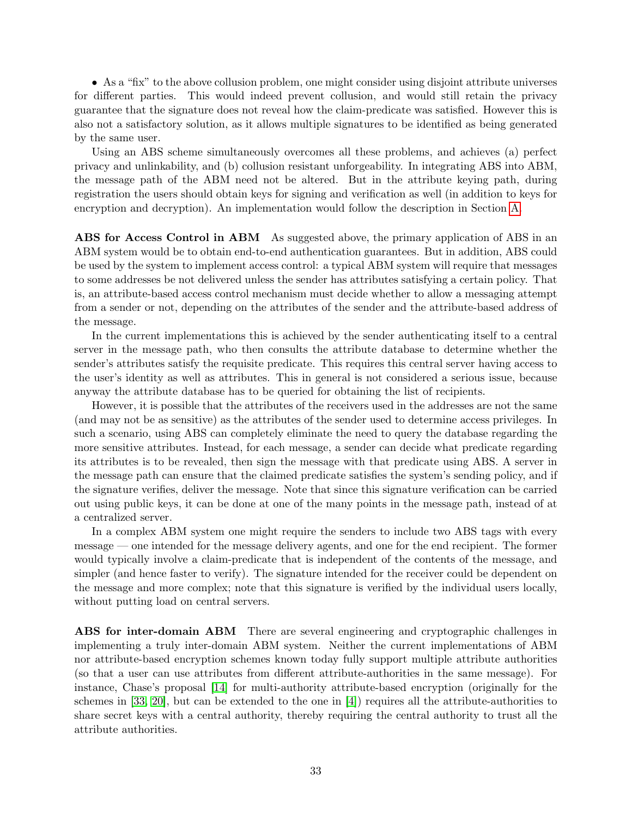• As a "fix" to the above collusion problem, one might consider using disjoint attribute universes for different parties. This would indeed prevent collusion, and would still retain the privacy guarantee that the signature does not reveal how the claim-predicate was satisfied. However this is also not a satisfactory solution, as it allows multiple signatures to be identified as being generated by the same user.

Using an ABS scheme simultaneously overcomes all these problems, and achieves (a) perfect privacy and unlinkability, and (b) collusion resistant unforgeability. In integrating ABS into ABM, the message path of the ABM need not be altered. But in the attribute keying path, during registration the users should obtain keys for signing and verification as well (in addition to keys for encryption and decryption). An implementation would follow the description in Section [A.](#page-15-9)

ABS for Access Control in ABM As suggested above, the primary application of ABS in an ABM system would be to obtain end-to-end authentication guarantees. But in addition, ABS could be used by the system to implement access control: a typical ABM system will require that messages to some addresses be not delivered unless the sender has attributes satisfying a certain policy. That is, an attribute-based access control mechanism must decide whether to allow a messaging attempt from a sender or not, depending on the attributes of the sender and the attribute-based address of the message.

In the current implementations this is achieved by the sender authenticating itself to a central server in the message path, who then consults the attribute database to determine whether the sender's attributes satisfy the requisite predicate. This requires this central server having access to the user's identity as well as attributes. This in general is not considered a serious issue, because anyway the attribute database has to be queried for obtaining the list of recipients.

However, it is possible that the attributes of the receivers used in the addresses are not the same (and may not be as sensitive) as the attributes of the sender used to determine access privileges. In such a scenario, using ABS can completely eliminate the need to query the database regarding the more sensitive attributes. Instead, for each message, a sender can decide what predicate regarding its attributes is to be revealed, then sign the message with that predicate using ABS. A server in the message path can ensure that the claimed predicate satisfies the system's sending policy, and if the signature verifies, deliver the message. Note that since this signature verification can be carried out using public keys, it can be done at one of the many points in the message path, instead of at a centralized server.

In a complex ABM system one might require the senders to include two ABS tags with every message — one intended for the message delivery agents, and one for the end recipient. The former would typically involve a claim-predicate that is independent of the contents of the message, and simpler (and hence faster to verify). The signature intended for the receiver could be dependent on the message and more complex; note that this signature is verified by the individual users locally, without putting load on central servers.

ABS for inter-domain ABM There are several engineering and cryptographic challenges in implementing a truly inter-domain ABM system. Neither the current implementations of ABM nor attribute-based encryption schemes known today fully support multiple attribute authorities (so that a user can use attributes from different attribute-authorities in the same message). For instance, Chase's proposal [\[14\]](#page-14-12) for multi-authority attribute-based encryption (originally for the schemes in [\[33,](#page-15-1) [20\]](#page-14-2), but can be extended to the one in [\[4\]](#page-13-0)) requires all the attribute-authorities to share secret keys with a central authority, thereby requiring the central authority to trust all the attribute authorities.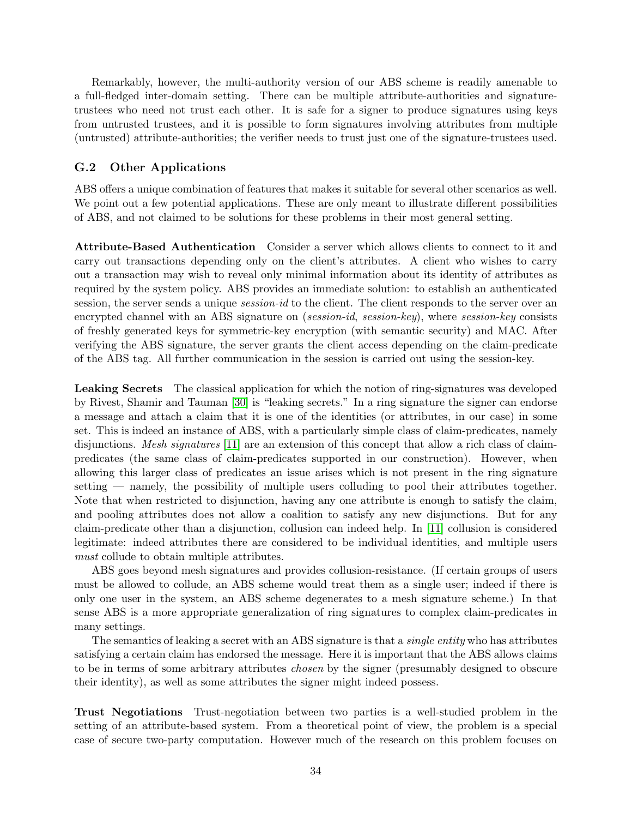Remarkably, however, the multi-authority version of our ABS scheme is readily amenable to a full-fledged inter-domain setting. There can be multiple attribute-authorities and signaturetrustees who need not trust each other. It is safe for a signer to produce signatures using keys from untrusted trustees, and it is possible to form signatures involving attributes from multiple (untrusted) attribute-authorities; the verifier needs to trust just one of the signature-trustees used.

### G.2 Other Applications

ABS offers a unique combination of features that makes it suitable for several other scenarios as well. We point out a few potential applications. These are only meant to illustrate different possibilities of ABS, and not claimed to be solutions for these problems in their most general setting.

Attribute-Based Authentication Consider a server which allows clients to connect to it and carry out transactions depending only on the client's attributes. A client who wishes to carry out a transaction may wish to reveal only minimal information about its identity of attributes as required by the system policy. ABS provides an immediate solution: to establish an authenticated session, the server sends a unique *session-id* to the client. The client responds to the server over an encrypted channel with an ABS signature on (*session-id*, *session-key*), where *session-key* consists of freshly generated keys for symmetric-key encryption (with semantic security) and MAC. After verifying the ABS signature, the server grants the client access depending on the claim-predicate of the ABS tag. All further communication in the session is carried out using the session-key.

Leaking Secrets The classical application for which the notion of ring-signatures was developed by Rivest, Shamir and Tauman [\[30\]](#page-15-0) is "leaking secrets." In a ring signature the signer can endorse a message and attach a claim that it is one of the identities (or attributes, in our case) in some set. This is indeed an instance of ABS, with a particularly simple class of claim-predicates, namely disjunctions. *Mesh signatures* [\[11\]](#page-14-1) are an extension of this concept that allow a rich class of claimpredicates (the same class of claim-predicates supported in our construction). However, when allowing this larger class of predicates an issue arises which is not present in the ring signature setting — namely, the possibility of multiple users colluding to pool their attributes together. Note that when restricted to disjunction, having any one attribute is enough to satisfy the claim, and pooling attributes does not allow a coalition to satisfy any new disjunctions. But for any claim-predicate other than a disjunction, collusion can indeed help. In [\[11\]](#page-14-1) collusion is considered legitimate: indeed attributes there are considered to be individual identities, and multiple users must collude to obtain multiple attributes.

ABS goes beyond mesh signatures and provides collusion-resistance. (If certain groups of users must be allowed to collude, an ABS scheme would treat them as a single user; indeed if there is only one user in the system, an ABS scheme degenerates to a mesh signature scheme.) In that sense ABS is a more appropriate generalization of ring signatures to complex claim-predicates in many settings.

The semantics of leaking a secret with an ABS signature is that a *single entity* who has attributes satisfying a certain claim has endorsed the message. Here it is important that the ABS allows claims to be in terms of some arbitrary attributes chosen by the signer (presumably designed to obscure their identity), as well as some attributes the signer might indeed possess.

Trust Negotiations Trust-negotiation between two parties is a well-studied problem in the setting of an attribute-based system. From a theoretical point of view, the problem is a special case of secure two-party computation. However much of the research on this problem focuses on